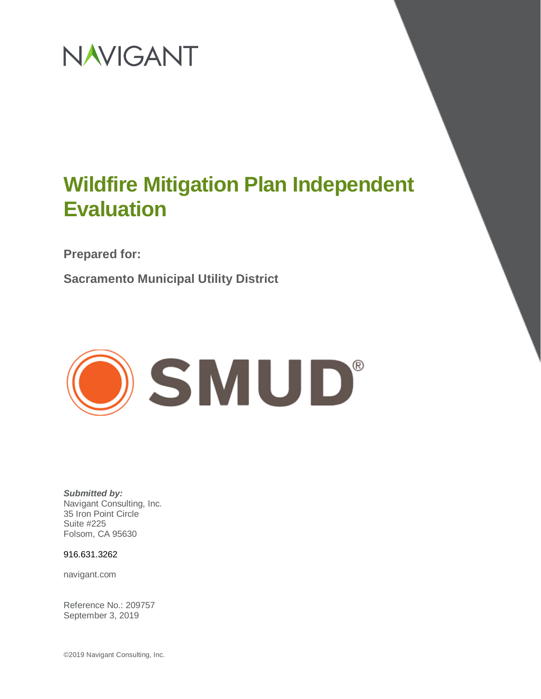

**Prepared for:**

**Sacramento Municipal Utility District**



*Submitted by:* Navigant Consulting, Inc. 35 Iron Point Circle Suite #225 Folsom, CA 95630

916.631.3262

navigant.com

Reference No.: 209757 September 3, 2019

©2019 Navigant Consulting, Inc.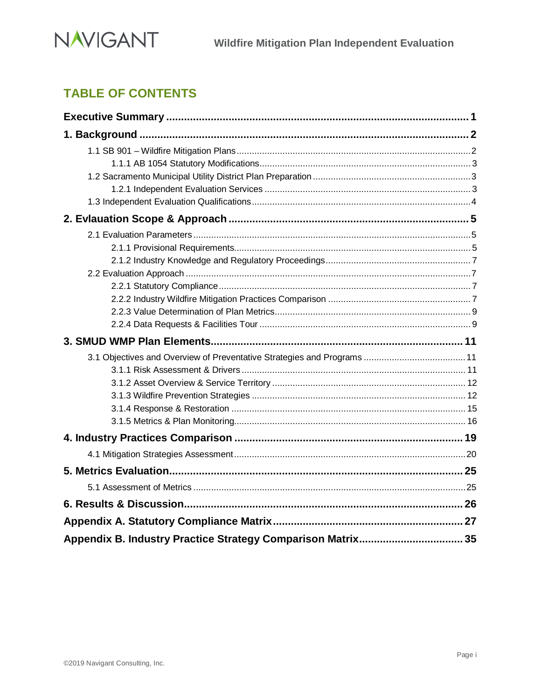

# **TABLE OF CONTENTS**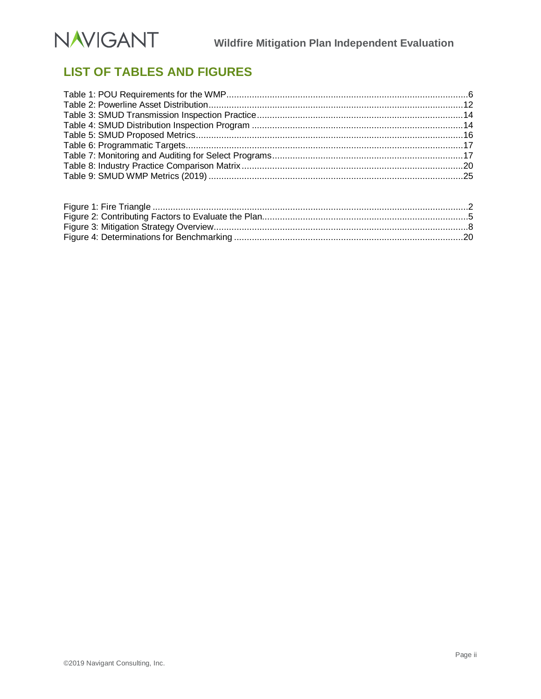

# **LIST OF TABLES AND FIGURES**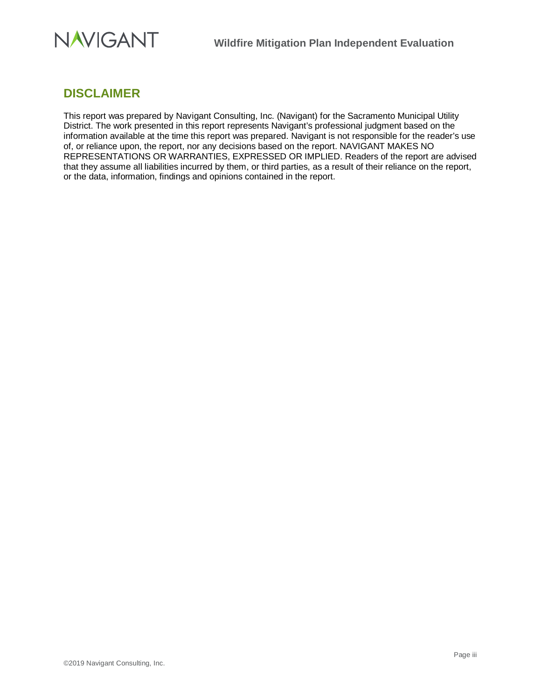

# **DISCLAIMER**

This report was prepared by Navigant Consulting, Inc. (Navigant) for the Sacramento Municipal Utility District. The work presented in this report represents Navigant's professional judgment based on the information available at the time this report was prepared. Navigant is not responsible for the reader's use of, or reliance upon, the report, nor any decisions based on the report. NAVIGANT MAKES NO REPRESENTATIONS OR WARRANTIES, EXPRESSED OR IMPLIED. Readers of the report are advised that they assume all liabilities incurred by them, or third parties, as a result of their reliance on the report, or the data, information, findings and opinions contained in the report.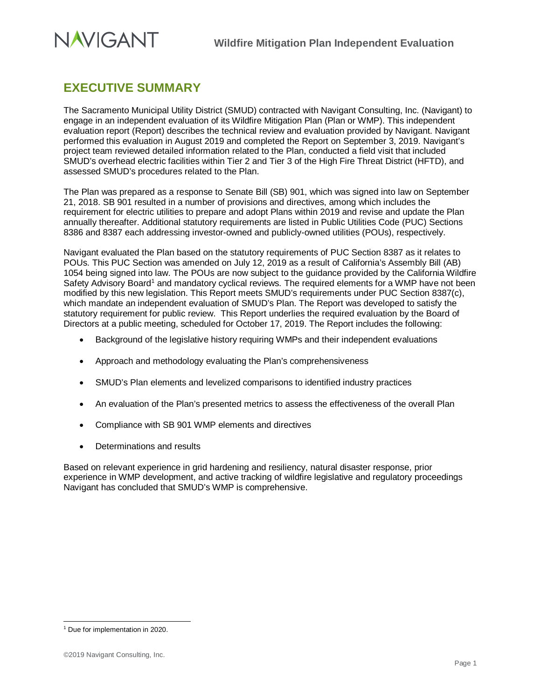

# <span id="page-4-0"></span>**EXECUTIVE SUMMARY**

The Sacramento Municipal Utility District (SMUD) contracted with Navigant Consulting, Inc. (Navigant) to engage in an independent evaluation of its Wildfire Mitigation Plan (Plan or WMP). This independent evaluation report (Report) describes the technical review and evaluation provided by Navigant. Navigant performed this evaluation in August 2019 and completed the Report on September 3, 2019. Navigant's project team reviewed detailed information related to the Plan, conducted a field visit that included SMUD's overhead electric facilities within Tier 2 and Tier 3 of the High Fire Threat District (HFTD), and assessed SMUD's procedures related to the Plan.

The Plan was prepared as a response to Senate Bill (SB) 901, which was signed into law on September 21, 2018. SB 901 resulted in a number of provisions and directives, among which includes the requirement for electric utilities to prepare and adopt Plans within 2019 and revise and update the Plan annually thereafter. Additional statutory requirements are listed in Public Utilities Code (PUC) Sections 8386 and 8387 each addressing investor-owned and publicly-owned utilities (POUs), respectively.

Navigant evaluated the Plan based on the statutory requirements of PUC Section 8387 as it relates to POUs. This PUC Section was amended on July 12, 2019 as a result of California's Assembly Bill (AB) 1054 being signed into law. The POUs are now subject to the guidance provided by the California Wildfire Safety Advisory Board<sup>1</sup> and mandatory cyclical reviews. The required elements for a WMP have not been modified by this new legislation. This Report meets SMUD's requirements under PUC Section 8387(c), which mandate an independent evaluation of SMUD's Plan. The Report was developed to satisfy the statutory requirement for public review. This Report underlies the required evaluation by the Board of Directors at a public meeting, scheduled for October 17, 2019. The Report includes the following:

- Background of the legislative history requiring WMPs and their independent evaluations
- Approach and methodology evaluating the Plan's comprehensiveness
- SMUD's Plan elements and levelized comparisons to identified industry practices
- An evaluation of the Plan's presented metrics to assess the effectiveness of the overall Plan
- Compliance with SB 901 WMP elements and directives
- Determinations and results

Based on relevant experience in grid hardening and resiliency, natural disaster response, prior experience in WMP development, and active tracking of wildfire legislative and regulatory proceedings Navigant has concluded that SMUD's WMP is comprehensive.

<span id="page-4-1"></span><sup>&</sup>lt;sup>1</sup> Due for implementation in 2020.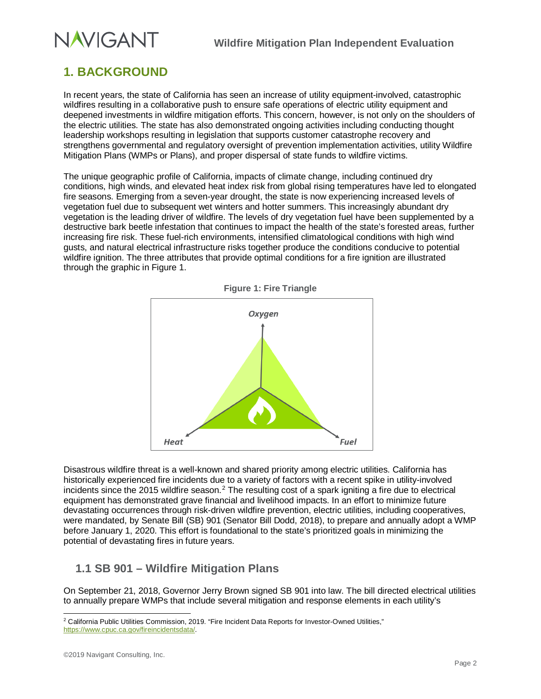# <span id="page-5-0"></span>**1. BACKGROUND**

In recent years, the state of California has seen an increase of utility equipment-involved, catastrophic wildfires resulting in a collaborative push to ensure safe operations of electric utility equipment and deepened investments in wildfire mitigation efforts. This concern, however, is not only on the shoulders of the electric utilities. The state has also demonstrated ongoing activities including conducting thought leadership workshops resulting in legislation that supports customer catastrophe recovery and strengthens governmental and regulatory oversight of prevention implementation activities, utility Wildfire Mitigation Plans (WMPs or Plans), and proper dispersal of state funds to wildfire victims.

The unique geographic profile of California, impacts of climate change, including continued dry conditions, high winds, and elevated heat index risk from global rising temperatures have led to elongated fire seasons. Emerging from a seven-year drought, the state is now experiencing increased levels of vegetation fuel due to subsequent wet winters and hotter summers. This increasingly abundant dry vegetation is the leading driver of wildfire. The levels of dry vegetation fuel have been supplemented by a destructive bark beetle infestation that continues to impact the health of the state's forested areas, further increasing fire risk. These fuel-rich environments, intensified climatological conditions with high wind gusts, and natural electrical infrastructure risks together produce the conditions conducive to potential wildfire ignition. The three attributes that provide optimal conditions for a fire ignition are illustrated through the graphic i[n Figure 1.](#page-5-2)



<span id="page-5-2"></span>

Disastrous wildfire threat is a well-known and shared priority among electric utilities. California has historically experienced fire incidents due to a variety of factors with a recent spike in utility-involved incidents since the [2](#page-5-3)015 wildfire season.<sup>2</sup> The resulting cost of a spark igniting a fire due to electrical equipment has demonstrated grave financial and livelihood impacts. In an effort to minimize future devastating occurrences through risk-driven wildfire prevention, electric utilities, including cooperatives, were mandated, by Senate Bill (SB) 901 (Senator Bill Dodd, 2018), to prepare and annually adopt a WMP before January 1, 2020. This effort is foundational to the state's prioritized goals in minimizing the potential of devastating fires in future years.

# <span id="page-5-1"></span>**1.1 SB 901 – Wildfire Mitigation Plans**

On September 21, 2018, Governor Jerry Brown signed SB 901 into law. The bill directed electrical utilities to annually prepare WMPs that include several mitigation and response elements in each utility's

<span id="page-5-3"></span><sup>&</sup>lt;sup>2</sup> California Public Utilities Commission, 2019. "Fire Incident Data Reports for Investor-Owned Utilities," [https://www.cpuc.ca.gov/fireincidentsdata/.](https://www.cpuc.ca.gov/fireincidentsdata/)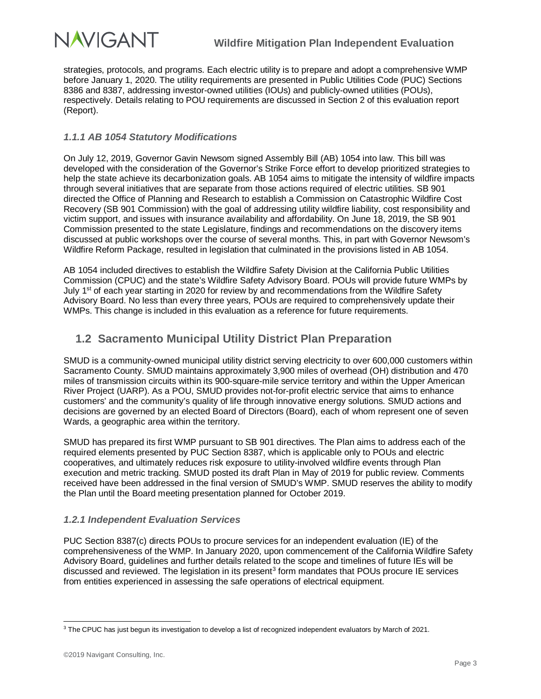

strategies, protocols, and programs. Each electric utility is to prepare and adopt a comprehensive WMP before January 1, 2020. The utility requirements are presented in Public Utilities Code (PUC) Sections 8386 and 8387, addressing investor-owned utilities (IOUs) and publicly-owned utilities (POUs), respectively. Details relating to POU requirements are discussed in Section 2 of this evaluation report (Report).

## <span id="page-6-0"></span>*1.1.1 AB 1054 Statutory Modifications*

On July 12, 2019, Governor Gavin Newsom signed Assembly Bill (AB) 1054 into law. This bill was developed with the consideration of the Governor's Strike Force effort to develop prioritized strategies to help the state achieve its decarbonization goals. AB 1054 aims to mitigate the intensity of wildfire impacts through several initiatives that are separate from those actions required of electric utilities. SB 901 directed the Office of Planning and Research to establish a Commission on Catastrophic Wildfire Cost Recovery (SB 901 Commission) with the goal of addressing utility wildfire liability, cost responsibility and victim support, and issues with insurance availability and affordability. On June 18, 2019, the SB 901 Commission presented to the state Legislature, findings and recommendations on the discovery items discussed at public workshops over the course of several months. This, in part with Governor Newsom's Wildfire Reform Package, resulted in legislation that culminated in the provisions listed in AB 1054.

AB 1054 included directives to establish the Wildfire Safety Division at the California Public Utilities Commission (CPUC) and the state's Wildfire Safety Advisory Board. POUs will provide future WMPs by July 1<sup>st</sup> of each year starting in 2020 for review by and recommendations from the Wildfire Safety Advisory Board. No less than every three years, POUs are required to comprehensively update their WMPs. This change is included in this evaluation as a reference for future requirements.

# <span id="page-6-1"></span>**1.2 Sacramento Municipal Utility District Plan Preparation**

SMUD is a community-owned municipal utility district serving electricity to over 600,000 customers within Sacramento County. SMUD maintains approximately 3,900 miles of overhead (OH) distribution and 470 miles of transmission circuits within its 900-square-mile service territory and within the Upper American River Project (UARP). As a POU, SMUD provides not-for-profit electric service that aims to enhance customers' and the community's quality of life through innovative energy solutions. SMUD actions and decisions are governed by an elected Board of Directors (Board), each of whom represent one of seven Wards, a geographic area within the territory.

SMUD has prepared its first WMP pursuant to SB 901 directives. The Plan aims to address each of the required elements presented by PUC Section 8387, which is applicable only to POUs and electric cooperatives, and ultimately reduces risk exposure to utility-involved wildfire events through Plan execution and metric tracking. SMUD posted its draft Plan in May of 2019 for public review. Comments received have been addressed in the final version of SMUD's WMP. SMUD reserves the ability to modify the Plan until the Board meeting presentation planned for October 2019.

## <span id="page-6-2"></span>*1.2.1 Independent Evaluation Services*

PUC Section 8387(c) directs POUs to procure services for an independent evaluation (IE) of the comprehensiveness of the WMP. In January 2020, upon commencement of the California Wildfire Safety Advisory Board, guidelines and further details related to the scope and timelines of future IEs will be discussed and reviewed. The legislation in its present<sup>[3](#page-6-3)</sup> form mandates that POUs procure IE services from entities experienced in assessing the safe operations of electrical equipment.

<span id="page-6-3"></span><sup>&</sup>lt;sup>3</sup> The CPUC has just begun its investigation to develop a list of recognized independent evaluators by March of 2021.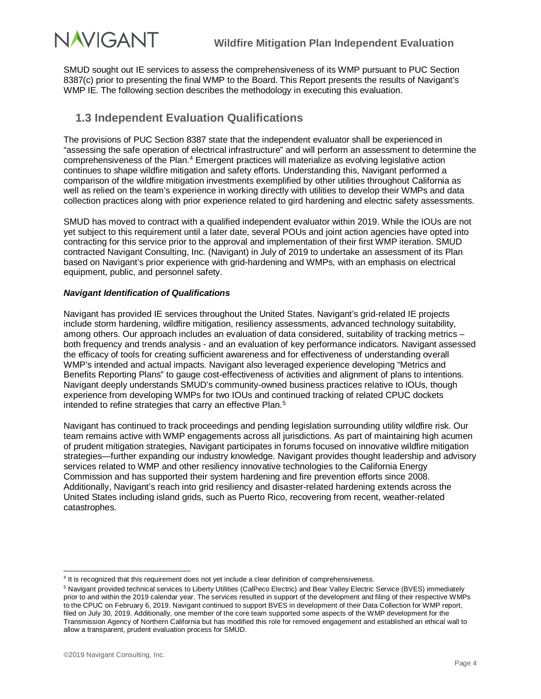

SMUD sought out IE services to assess the comprehensiveness of its WMP pursuant to PUC Section 8387(c) prior to presenting the final WMP to the Board. This Report presents the results of Navigant's WMP IE. The following section describes the methodology in executing this evaluation.

# <span id="page-7-0"></span>**1.3 Independent Evaluation Qualifications**

The provisions of PUC Section 8387 state that the independent evaluator shall be experienced in "assessing the safe operation of electrical infrastructure" and will perform an assessment to determine the comprehensiveness of the Plan.[4](#page-7-1) Emergent practices will materialize as evolving legislative action continues to shape wildfire mitigation and safety efforts. Understanding this, Navigant performed a comparison of the wildfire mitigation investments exemplified by other utilities throughout California as well as relied on the team's experience in working directly with utilities to develop their WMPs and data collection practices along with prior experience related to gird hardening and electric safety assessments.

SMUD has moved to contract with a qualified independent evaluator within 2019. While the IOUs are not yet subject to this requirement until a later date, several POUs and joint action agencies have opted into contracting for this service prior to the approval and implementation of their first WMP iteration. SMUD contracted Navigant Consulting, Inc. (Navigant) in July of 2019 to undertake an assessment of its Plan based on Navigant's prior experience with grid-hardening and WMPs, with an emphasis on electrical equipment, public, and personnel safety.

#### *Navigant Identification of Qualifications*

Navigant has provided IE services throughout the United States. Navigant's grid-related IE projects include storm hardening, wildfire mitigation, resiliency assessments, advanced technology suitability, among others. Our approach includes an evaluation of data considered, suitability of tracking metrics – both frequency and trends analysis - and an evaluation of key performance indicators. Navigant assessed the efficacy of tools for creating sufficient awareness and for effectiveness of understanding overall WMP's intended and actual impacts. Navigant also leveraged experience developing "Metrics and Benefits Reporting Plans" to gauge cost-effectiveness of activities and alignment of plans to intentions. Navigant deeply understands SMUD's community-owned business practices relative to IOUs, though experience from developing WMPs for two IOUs and continued tracking of related CPUC dockets intended to refine strategies that carry an effective Plan. [5](#page-7-2)

Navigant has continued to track proceedings and pending legislation surrounding utility wildfire risk. Our team remains active with WMP engagements across all jurisdictions. As part of maintaining high acumen of prudent mitigation strategies, Navigant participates in forums focused on innovative wildfire mitigation strategies—further expanding our industry knowledge. Navigant provides thought leadership and advisory services related to WMP and other resiliency innovative technologies to the California Energy Commission and has supported their system hardening and fire prevention efforts since 2008. Additionally, Navigant's reach into grid resiliency and disaster-related hardening extends across the United States including island grids, such as Puerto Rico, recovering from recent, weather-related catastrophes.

<span id="page-7-1"></span> <sup>4</sup> It is recognized that this requirement does not yet include a clear definition of comprehensiveness.

<span id="page-7-2"></span><sup>&</sup>lt;sup>5</sup> Navigant provided technical services to Liberty Utilities (CalPeco Electric) and Bear Valley Electric Service (BVES) immediately prior to and within the 2019 calendar year. The services resulted in support of the development and filing of their respective WMPs to the CPUC on February 6, 2019. Navigant continued to support BVES in development of their Data Collection for WMP report, filed on July 30, 2019. Additionally, one member of the core team supported some aspects of the WMP development for the Transmission Agency of Northern California but has modified this role for removed engagement and established an ethical wall to allow a transparent, prudent evaluation process for SMUD.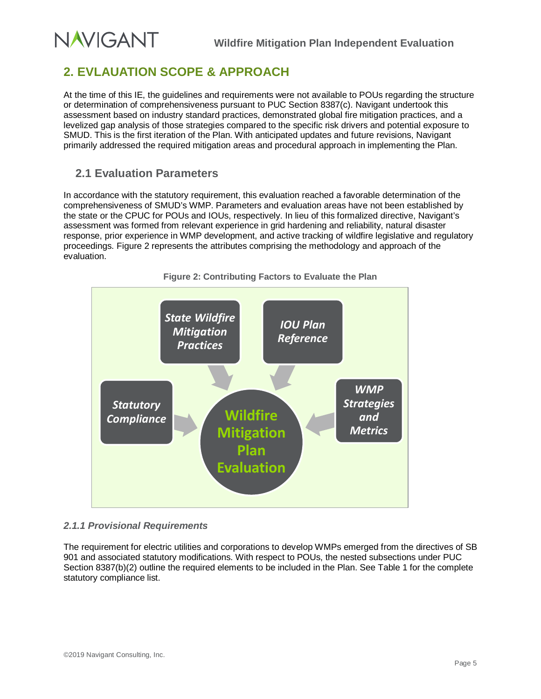# <span id="page-8-0"></span>**2. EVLAUATION SCOPE & APPROACH**

At the time of this IE, the guidelines and requirements were not available to POUs regarding the structure or determination of comprehensiveness pursuant to PUC Section 8387(c). Navigant undertook this assessment based on industry standard practices, demonstrated global fire mitigation practices, and a levelized gap analysis of those strategies compared to the specific risk drivers and potential exposure to SMUD. This is the first iteration of the Plan. With anticipated updates and future revisions, Navigant primarily addressed the required mitigation areas and procedural approach in implementing the Plan.

# <span id="page-8-1"></span>**2.1 Evaluation Parameters**

**NAVIGANT** 

In accordance with the statutory requirement, this evaluation reached a favorable determination of the comprehensiveness of SMUD's WMP. Parameters and evaluation areas have not been established by the state or the CPUC for POUs and IOUs, respectively. In lieu of this formalized directive, Navigant's assessment was formed from relevant experience in grid hardening and reliability, natural disaster response, prior experience in WMP development, and active tracking of wildfire legislative and regulatory proceedings. Figure 2 represents the attributes comprising the methodology and approach of the evaluation.

<span id="page-8-3"></span>

## <span id="page-8-2"></span>*2.1.1 Provisional Requirements*

The requirement for electric utilities and corporations to develop WMPs emerged from the directives of SB 901 and associated statutory modifications. With respect to POUs, the nested subsections under PUC Section 8387(b)(2) outline the required elements to be included in the Plan. See Table 1 for the complete statutory compliance list.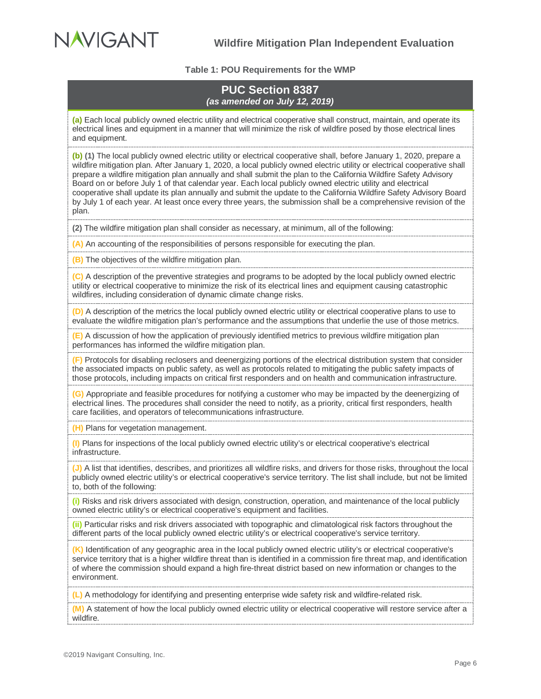<span id="page-9-0"></span>

#### **Table 1: POU Requirements for the WMP**

## **PUC Section 8387**  *(as amended on July 12, 2019)*

**(a)** Each local publicly owned electric utility and electrical cooperative shall construct, maintain, and operate its electrical lines and equipment in a manner that will minimize the risk of wildfire posed by those electrical lines and equipment.

**(b) (1)** The local publicly owned electric utility or electrical cooperative shall, before January 1, 2020, prepare a wildfire mitigation plan. After January 1, 2020, a local publicly owned electric utility or electrical cooperative shall prepare a wildfire mitigation plan annually and shall submit the plan to the California Wildfire Safety Advisory Board on or before July 1 of that calendar year. Each local publicly owned electric utility and electrical cooperative shall update its plan annually and submit the update to the California Wildfire Safety Advisory Board by July 1 of each year. At least once every three years, the submission shall be a comprehensive revision of the plan.

**(2)** The wildfire mitigation plan shall consider as necessary, at minimum, all of the following:

**(A)** An accounting of the responsibilities of persons responsible for executing the plan.

**(B)** The objectives of the wildfire mitigation plan.

**(C)** A description of the preventive strategies and programs to be adopted by the local publicly owned electric utility or electrical cooperative to minimize the risk of its electrical lines and equipment causing catastrophic wildfires, including consideration of dynamic climate change risks.

**(D)** A description of the metrics the local publicly owned electric utility or electrical cooperative plans to use to evaluate the wildfire mitigation plan's performance and the assumptions that underlie the use of those metrics.

**(E)** A discussion of how the application of previously identified metrics to previous wildfire mitigation plan performances has informed the wildfire mitigation plan.

**(F)** Protocols for disabling reclosers and deenergizing portions of the electrical distribution system that consider the associated impacts on public safety, as well as protocols related to mitigating the public safety impacts of those protocols, including impacts on critical first responders and on health and communication infrastructure.

**(G)** Appropriate and feasible procedures for notifying a customer who may be impacted by the deenergizing of electrical lines. The procedures shall consider the need to notify, as a priority, critical first responders, health care facilities, and operators of telecommunications infrastructure.

**(H)** Plans for vegetation management.

**(I)** Plans for inspections of the local publicly owned electric utility's or electrical cooperative's electrical infrastructure.

**(J)** A list that identifies, describes, and prioritizes all wildfire risks, and drivers for those risks, throughout the local publicly owned electric utility's or electrical cooperative's service territory. The list shall include, but not be limited to, both of the following:

**(i)** Risks and risk drivers associated with design, construction, operation, and maintenance of the local publicly owned electric utility's or electrical cooperative's equipment and facilities.

**(ii)** Particular risks and risk drivers associated with topographic and climatological risk factors throughout the different parts of the local publicly owned electric utility's or electrical cooperative's service territory.

**(K)** Identification of any geographic area in the local publicly owned electric utility's or electrical cooperative's service territory that is a higher wildfire threat than is identified in a commission fire threat map, and identification of where the commission should expand a high fire-threat district based on new information or changes to the environment.

**(L)** A methodology for identifying and presenting enterprise wide safety risk and wildfire-related risk.

**(M)** A statement of how the local publicly owned electric utility or electrical cooperative will restore service after a wildfire.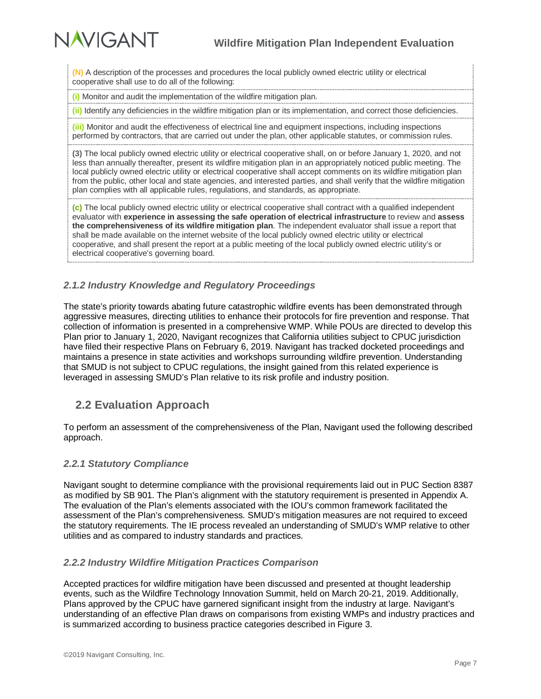**NAVIGANT** 

**(N)** A description of the processes and procedures the local publicly owned electric utility or electrical cooperative shall use to do all of the following:

**(i)** Monitor and audit the implementation of the wildfire mitigation plan.

**(ii)** Identify any deficiencies in the wildfire mitigation plan or its implementation, and correct those deficiencies.

**(iii)** Monitor and audit the effectiveness of electrical line and equipment inspections, including inspections performed by contractors, that are carried out under the plan, other applicable statutes, or commission rules.

**(3)** The local publicly owned electric utility or electrical cooperative shall, on or before January 1, 2020, and not less than annually thereafter, present its wildfire mitigation plan in an appropriately noticed public meeting. The local publicly owned electric utility or electrical cooperative shall accept comments on its wildfire mitigation plan from the public, other local and state agencies, and interested parties, and shall verify that the wildfire mitigation plan complies with all applicable rules, regulations, and standards, as appropriate.

**(c)** The local publicly owned electric utility or electrical cooperative shall contract with a qualified independent evaluator with **experience in assessing the safe operation of electrical infrastructure** to review and **assess the comprehensiveness of its wildfire mitigation plan**. The independent evaluator shall issue a report that shall be made available on the internet website of the local publicly owned electric utility or electrical cooperative, and shall present the report at a public meeting of the local publicly owned electric utility's or electrical cooperative's governing board.

## <span id="page-10-0"></span>*2.1.2 Industry Knowledge and Regulatory Proceedings*

The state's priority towards abating future catastrophic wildfire events has been demonstrated through aggressive measures, directing utilities to enhance their protocols for fire prevention and response. That collection of information is presented in a comprehensive WMP. While POUs are directed to develop this Plan prior to January 1, 2020, Navigant recognizes that California utilities subject to CPUC jurisdiction have filed their respective Plans on February 6, 2019. Navigant has tracked docketed proceedings and maintains a presence in state activities and workshops surrounding wildfire prevention. Understanding that SMUD is not subject to CPUC regulations, the insight gained from this related experience is leveraged in assessing SMUD's Plan relative to its risk profile and industry position.

## <span id="page-10-1"></span>**2.2 Evaluation Approach**

To perform an assessment of the comprehensiveness of the Plan, Navigant used the following described approach.

### <span id="page-10-2"></span>*2.2.1 Statutory Compliance*

Navigant sought to determine compliance with the provisional requirements laid out in PUC Section 8387 as modified by SB 901. The Plan's alignment with the statutory requirement is presented in Appendix A. The evaluation of the Plan's elements associated with the IOU's common framework facilitated the assessment of the Plan's comprehensiveness. SMUD's mitigation measures are not required to exceed the statutory requirements. The IE process revealed an understanding of SMUD's WMP relative to other utilities and as compared to industry standards and practices.

### <span id="page-10-3"></span>*2.2.2 Industry Wildfire Mitigation Practices Comparison*

Accepted practices for wildfire mitigation have been discussed and presented at thought leadership events, such as the Wildfire Technology Innovation Summit, held on March 20-21, 2019. Additionally, Plans approved by the CPUC have garnered significant insight from the industry at large. Navigant's understanding of an effective Plan draws on comparisons from existing WMPs and industry practices and is summarized according to business practice categories described in [Figure 3.](#page-11-0)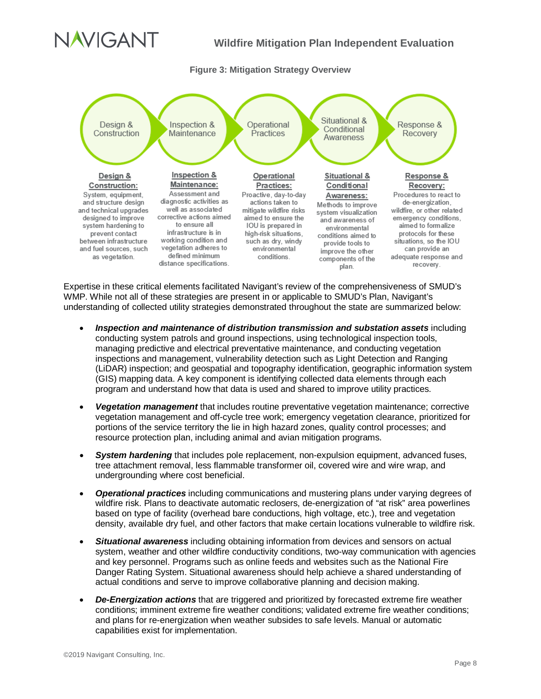# JAVIGANT

## **Wildfire Mitigation Plan Independent Evaluation**

#### **Figure 3: Mitigation Strategy Overview**

<span id="page-11-0"></span>

Expertise in these critical elements facilitated Navigant's review of the comprehensiveness of SMUD's WMP. While not all of these strategies are present in or applicable to SMUD's Plan, Navigant's understanding of collected utility strategies demonstrated throughout the state are summarized below:

- *Inspection and maintenance of distribution transmission and substation assets* including conducting system patrols and ground inspections, using technological inspection tools, managing predictive and electrical preventative maintenance, and conducting vegetation inspections and management, vulnerability detection such as Light Detection and Ranging (LiDAR) inspection; and geospatial and topography identification, geographic information system (GIS) mapping data. A key component is identifying collected data elements through each program and understand how that data is used and shared to improve utility practices.
- *Vegetation management* that includes routine preventative vegetation maintenance; corrective vegetation management and off-cycle tree work; emergency vegetation clearance, prioritized for portions of the service territory the lie in high hazard zones, quality control processes; and resource protection plan, including animal and avian mitigation programs.
- *System hardening* that includes pole replacement, non-expulsion equipment, advanced fuses, tree attachment removal, less flammable transformer oil, covered wire and wire wrap, and undergrounding where cost beneficial.
- *Operational practices* including communications and mustering plans under varying degrees of wildfire risk. Plans to deactivate automatic reclosers, de-energization of "at risk" area powerlines based on type of facility (overhead bare conductions, high voltage, etc.), tree and vegetation density, available dry fuel, and other factors that make certain locations vulnerable to wildfire risk.
- *Situational awareness* including obtaining information from devices and sensors on actual system, weather and other wildfire conductivity conditions, two-way communication with agencies and key personnel. Programs such as online feeds and websites such as the National Fire Danger Rating System. Situational awareness should help achieve a shared understanding of actual conditions and serve to improve collaborative planning and decision making.
- *De-Energization actions* that are triggered and prioritized by forecasted extreme fire weather conditions; imminent extreme fire weather conditions; validated extreme fire weather conditions; and plans for re-energization when weather subsides to safe levels. Manual or automatic capabilities exist for implementation.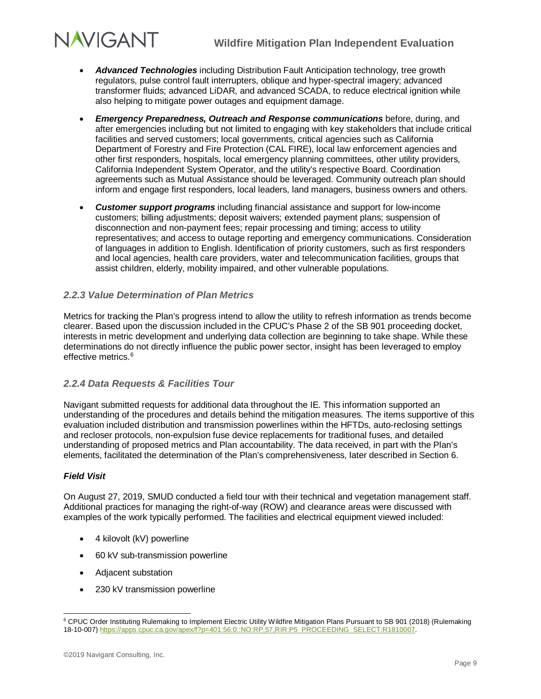# **NAVIGANT**

- *Advanced Technologies* including Distribution Fault Anticipation technology, tree growth regulators, pulse control fault interrupters, oblique and hyper-spectral imagery; advanced transformer fluids; advanced LiDAR, and advanced SCADA, to reduce electrical ignition while also helping to mitigate power outages and equipment damage.
- *Emergency Preparedness, Outreach and Response communications* before, during, and after emergencies including but not limited to engaging with key stakeholders that include critical facilities and served customers; local governments, critical agencies such as California Department of Forestry and Fire Protection (CAL FIRE), local law enforcement agencies and other first responders, hospitals, local emergency planning committees, other utility providers, California Independent System Operator, and the utility's respective Board. Coordination agreements such as Mutual Assistance should be leveraged. Community outreach plan should inform and engage first responders, local leaders, land managers, business owners and others.
- *Customer support programs* including financial assistance and support for low-income customers; billing adjustments; deposit waivers; extended payment plans; suspension of disconnection and non-payment fees; repair processing and timing; access to utility representatives; and access to outage reporting and emergency communications. Consideration of languages in addition to English. Identification of priority customers, such as first responders and local agencies, health care providers, water and telecommunication facilities, groups that assist children, elderly, mobility impaired, and other vulnerable populations.

## <span id="page-12-0"></span>*2.2.3 Value Determination of Plan Metrics*

Metrics for tracking the Plan's progress intend to allow the utility to refresh information as trends become clearer. Based upon the discussion included in the CPUC's Phase 2 of the SB 901 proceeding docket, interests in metric development and underlying data collection are beginning to take shape. While these determinations do not directly influence the public power sector, insight has been leveraged to employ effective metrics.<sup>[6](#page-12-2)</sup>

### <span id="page-12-1"></span>*2.2.4 Data Requests & Facilities Tour*

Navigant submitted requests for additional data throughout the IE. This information supported an understanding of the procedures and details behind the mitigation measures. The items supportive of this evaluation included distribution and transmission powerlines within the HFTDs, auto-reclosing settings and recloser protocols, non-expulsion fuse device replacements for traditional fuses, and detailed understanding of proposed metrics and Plan accountability. The data received, in part with the Plan's elements, facilitated the determination of the Plan's comprehensiveness, later described in Section 6.

### *Field Visit*

On August 27, 2019, SMUD conducted a field tour with their technical and vegetation management staff. Additional practices for managing the right-of-way (ROW) and clearance areas were discussed with examples of the work typically performed. The facilities and electrical equipment viewed included:

- 4 kilovolt (kV) powerline
- 60 kV sub-transmission powerline
- Adjacent substation
- 230 kV transmission powerline

<span id="page-12-2"></span> <sup>6</sup> CPUC Order Instituting Rulemaking to Implement Electric Utility Wildfire Mitigation Plans Pursuant to SB 901 (2018) (Rulemaking 18-10-007) [https://apps.cpuc.ca.gov/apex/f?p=401:56:0::NO:RP,57,RIR:P5\\_PROCEEDING\\_SELECT:R1810007.](https://apps.cpuc.ca.gov/apex/f?p=401:56:0::NO:RP,57,RIR:P5_PROCEEDING_SELECT:R1810007)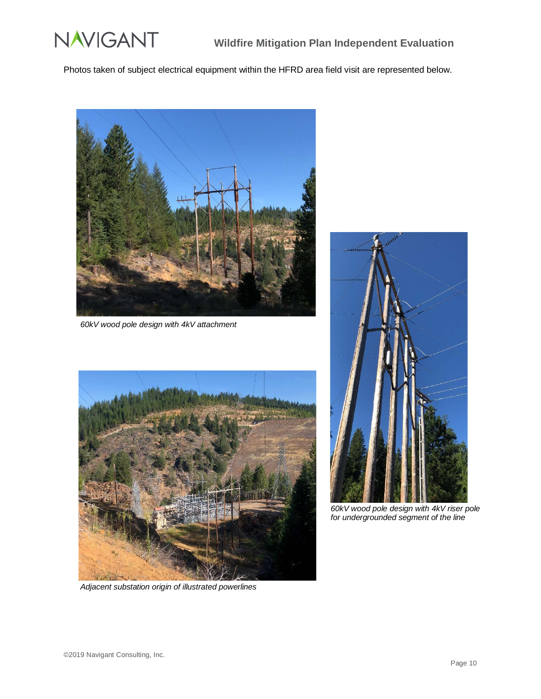

Photos taken of subject electrical equipment within the HFRD area field visit are represented below.



*60kV wood pole design with 4kV attachment*



*Adjacent substation origin of illustrated powerlines*



*60kV wood pole design with 4kV riser pole for undergrounded segment of the line*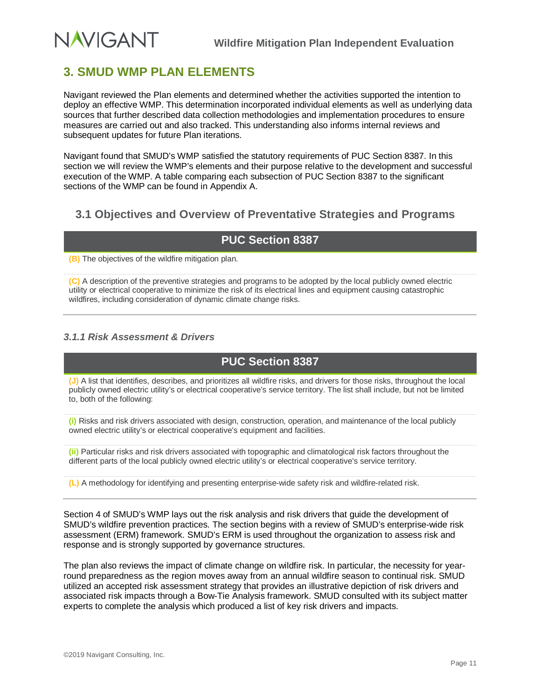# <span id="page-14-0"></span>**3. SMUD WMP PLAN ELEMENTS**

Navigant reviewed the Plan elements and determined whether the activities supported the intention to deploy an effective WMP. This determination incorporated individual elements as well as underlying data sources that further described data collection methodologies and implementation procedures to ensure measures are carried out and also tracked. This understanding also informs internal reviews and subsequent updates for future Plan iterations.

Navigant found that SMUD's WMP satisfied the statutory requirements of PUC Section 8387. In this section we will review the WMP's elements and their purpose relative to the development and successful execution of the WMP. A table comparing each subsection of PUC Section 8387 to the significant sections of the WMP can be found in Appendix A.

# <span id="page-14-1"></span>**3.1 Objectives and Overview of Preventative Strategies and Programs**

# **PUC Section 8387**

**(B)** The objectives of the wildfire mitigation plan.

**(C)** A description of the preventive strategies and programs to be adopted by the local publicly owned electric utility or electrical cooperative to minimize the risk of its electrical lines and equipment causing catastrophic wildfires, including consideration of dynamic climate change risks.

## <span id="page-14-2"></span>*3.1.1 Risk Assessment & Drivers*

# **PUC Section 8387**

**(J)** A list that identifies, describes, and prioritizes all wildfire risks, and drivers for those risks, throughout the local publicly owned electric utility's or electrical cooperative's service territory. The list shall include, but not be limited to, both of the following:

**(i)** Risks and risk drivers associated with design, construction, operation, and maintenance of the local publicly owned electric utility's or electrical cooperative's equipment and facilities.

**(ii)** Particular risks and risk drivers associated with topographic and climatological risk factors throughout the different parts of the local publicly owned electric utility's or electrical cooperative's service territory.

**(L)** A methodology for identifying and presenting enterprise-wide safety risk and wildfire-related risk.

Section 4 of SMUD's WMP lays out the risk analysis and risk drivers that guide the development of SMUD's wildfire prevention practices. The section begins with a review of SMUD's enterprise-wide risk assessment (ERM) framework. SMUD's ERM is used throughout the organization to assess risk and response and is strongly supported by governance structures.

The plan also reviews the impact of climate change on wildfire risk. In particular, the necessity for yearround preparedness as the region moves away from an annual wildfire season to continual risk. SMUD utilized an accepted risk assessment strategy that provides an illustrative depiction of risk drivers and associated risk impacts through a Bow-Tie Analysis framework. SMUD consulted with its subject matter experts to complete the analysis which produced a list of key risk drivers and impacts.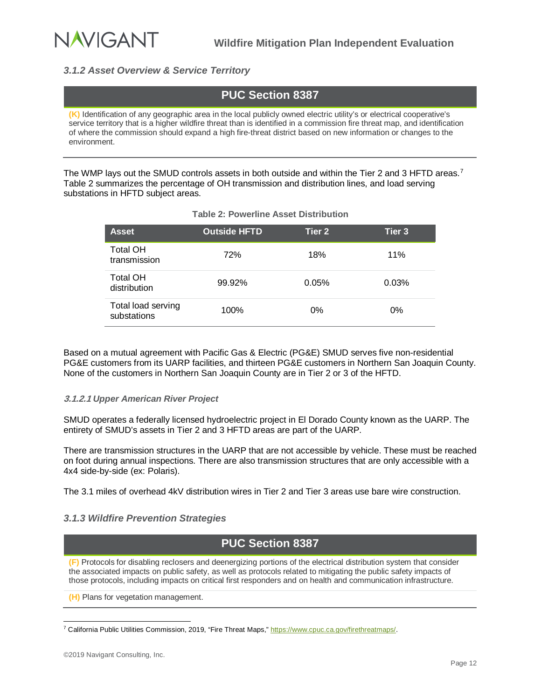

## <span id="page-15-0"></span>*3.1.2 Asset Overview & Service Territory*

# **PUC Section 8387**

**(K)** Identification of any geographic area in the local publicly owned electric utility's or electrical cooperative's service territory that is a higher wildfire threat than is identified in a commission fire threat map, and identification of where the commission should expand a high fire-threat district based on new information or changes to the environment.

<span id="page-15-2"></span>The WMP lays out the SMUD controls assets in both outside and within the Tier 2 and 3 HFTD areas.<sup>[7](#page-15-3)</sup> [Table 2](#page-15-2) summarizes the percentage of OH transmission and distribution lines, and load serving substations in HFTD subject areas.

| <b>Asset</b>                      | <b>Outside HFTD</b> | Tier <sub>2</sub> | Tier <sub>3</sub> |
|-----------------------------------|---------------------|-------------------|-------------------|
| <b>Total OH</b><br>transmission   | 72%                 | 18%               | 11%               |
| <b>Total OH</b><br>distribution   | 99.92%              | 0.05%             | 0.03%             |
| Total load serving<br>substations | 100%                | 0%                | 0%                |

### **Table 2: Powerline Asset Distribution**

Based on a mutual agreement with Pacific Gas & Electric (PG&E) SMUD serves five non-residential PG&E customers from its UARP facilities, and thirteen PG&E customers in Northern San Joaquin County. None of the customers in Northern San Joaquin County are in Tier 2 or 3 of the HFTD.

#### **3.1.2.1** *Upper American River Project*

SMUD operates a federally licensed hydroelectric project in El Dorado County known as the UARP. The entirety of SMUD's assets in Tier 2 and 3 HFTD areas are part of the UARP.

There are transmission structures in the UARP that are not accessible by vehicle. These must be reached on foot during annual inspections. There are also transmission structures that are only accessible with a 4x4 side-by-side (ex: Polaris).

The 3.1 miles of overhead 4kV distribution wires in Tier 2 and Tier 3 areas use bare wire construction.

### <span id="page-15-1"></span>*3.1.3 Wildfire Prevention Strategies*

# **PUC Section 8387**

**(F)** Protocols for disabling reclosers and deenergizing portions of the electrical distribution system that consider the associated impacts on public safety, as well as protocols related to mitigating the public safety impacts of those protocols, including impacts on critical first responders and on health and communication infrastructure.

**(H)** Plans for vegetation management.

<span id="page-15-3"></span> <sup>7</sup> California Public Utilities Commission, 2019, "Fire Threat Maps,[" https://www.cpuc.ca.gov/firethreatmaps/.](https://www.cpuc.ca.gov/firethreatmaps/)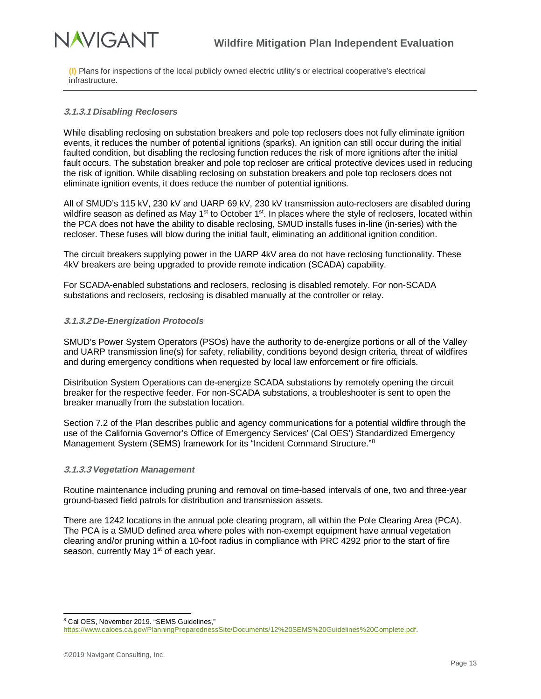# **NAVIGANT**

**(I)** Plans for inspections of the local publicly owned electric utility's or electrical cooperative's electrical infrastructure.

### **3.1.3.1** *Disabling Reclosers*

While disabling reclosing on substation breakers and pole top reclosers does not fully eliminate ignition events, it reduces the number of potential ignitions (sparks). An ignition can still occur during the initial faulted condition, but disabling the reclosing function reduces the risk of more ignitions after the initial fault occurs. The substation breaker and pole top recloser are critical protective devices used in reducing the risk of ignition. While disabling reclosing on substation breakers and pole top reclosers does not eliminate ignition events, it does reduce the number of potential ignitions.

All of SMUD's 115 kV, 230 kV and UARP 69 kV, 230 kV transmission auto-reclosers are disabled during wildfire season as defined as May  $1<sup>st</sup>$  to October  $1<sup>st</sup>$ . In places where the style of reclosers, located within the PCA does not have the ability to disable reclosing, SMUD installs fuses in-line (in-series) with the recloser. These fuses will blow during the initial fault, eliminating an additional ignition condition.

The circuit breakers supplying power in the UARP 4kV area do not have reclosing functionality. These 4kV breakers are being upgraded to provide remote indication (SCADA) capability.

For SCADA-enabled substations and reclosers, reclosing is disabled remotely. For non-SCADA substations and reclosers, reclosing is disabled manually at the controller or relay.

#### **3.1.3.2** *De-Energization Protocols*

SMUD's Power System Operators (PSOs) have the authority to de-energize portions or all of the Valley and UARP transmission line(s) for safety, reliability, conditions beyond design criteria, threat of wildfires and during emergency conditions when requested by local law enforcement or fire officials.

Distribution System Operations can de-energize SCADA substations by remotely opening the circuit breaker for the respective feeder. For non-SCADA substations, a troubleshooter is sent to open the breaker manually from the substation location.

Section 7.2 of the Plan describes public and agency communications for a potential wildfire through the use of the California Governor's Office of Emergency Services' (Cal OES') Standardized Emergency Management System (SEMS) framework for its "Incident Command Structure."<sup>[8](#page-16-0)</sup>

#### **3.1.3.3** *Vegetation Management*

Routine maintenance including pruning and removal on time-based intervals of one, two and three-year ground-based field patrols for distribution and transmission assets.

There are 1242 locations in the annual pole clearing program, all within the Pole Clearing Area (PCA). The PCA is a SMUD defined area where poles with non-exempt equipment have annual vegetation clearing and/or pruning within a 10-foot radius in compliance with PRC 4292 prior to the start of fire season, currently May 1<sup>st</sup> of each year.

<span id="page-16-0"></span> <sup>8</sup> Cal OES, November 2019. "SEMS Guidelines," [https://www.caloes.ca.gov/PlanningPreparednessSite/Documents/12%20SEMS%20Guidelines%20Complete.pdf.](https://www.caloes.ca.gov/PlanningPreparednessSite/Documents/12%20SEMS%20Guidelines%20Complete.pdf)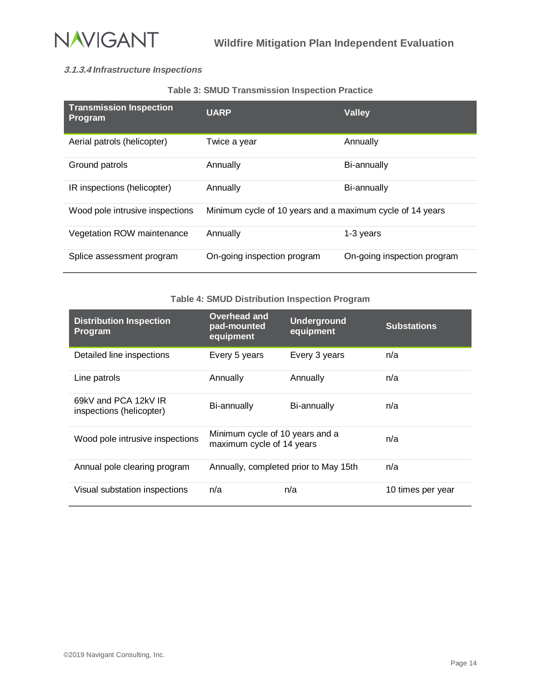

## **3.1.3.4** *Infrastructure Inspections*

#### **Table 3: SMUD Transmission Inspection Practice**

<span id="page-17-0"></span>

| <b>Transmission Inspection</b><br><b>Program</b> | <b>UARP</b>                                               | <b>Valley</b>               |
|--------------------------------------------------|-----------------------------------------------------------|-----------------------------|
| Aerial patrols (helicopter)                      | Twice a year                                              | Annually                    |
| Ground patrols                                   | Annually                                                  | Bi-annually                 |
| IR inspections (helicopter)                      | Annually                                                  | Bi-annually                 |
| Wood pole intrusive inspections                  | Minimum cycle of 10 years and a maximum cycle of 14 years |                             |
| Vegetation ROW maintenance                       | Annually                                                  | 1-3 years                   |
| Splice assessment program                        | On-going inspection program                               | On-going inspection program |

#### **Table 4: SMUD Distribution Inspection Program**

<span id="page-17-1"></span>

| <b>Distribution Inspection</b><br>Program        | Overhead and<br>pad-mounted<br>equipment                     | <b>Underground</b><br>equipment | <b>Substations</b> |
|--------------------------------------------------|--------------------------------------------------------------|---------------------------------|--------------------|
| Detailed line inspections                        | Every 5 years                                                | Every 3 years                   | n/a                |
| Line patrols                                     | Annually                                                     | Annually                        | n/a                |
| 69kV and PCA 12kV IR<br>inspections (helicopter) | Bi-annually                                                  | Bi-annually                     | n/a                |
| Wood pole intrusive inspections                  | Minimum cycle of 10 years and a<br>maximum cycle of 14 years |                                 | n/a                |
| Annual pole clearing program                     | Annually, completed prior to May 15th                        |                                 | n/a                |
| Visual substation inspections                    | n/a                                                          | n/a                             | 10 times per year  |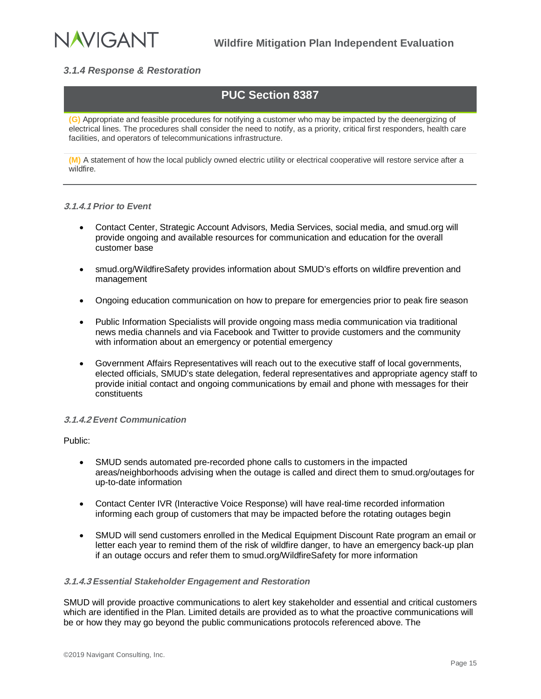

## <span id="page-18-0"></span>*3.1.4 Response & Restoration*

# **PUC Section 8387**

**(G)** Appropriate and feasible procedures for notifying a customer who may be impacted by the deenergizing of electrical lines. The procedures shall consider the need to notify, as a priority, critical first responders, health care facilities, and operators of telecommunications infrastructure.

**(M)** A statement of how the local publicly owned electric utility or electrical cooperative will restore service after a wildfire.

#### **3.1.4.1** *Prior to Event*

- Contact Center, Strategic Account Advisors, Media Services, social media, and smud.org will provide ongoing and available resources for communication and education for the overall customer base
- smud.org/WildfireSafety provides information about SMUD's efforts on wildfire prevention and management
- Ongoing education communication on how to prepare for emergencies prior to peak fire season
- Public Information Specialists will provide ongoing mass media communication via traditional news media channels and via Facebook and Twitter to provide customers and the community with information about an emergency or potential emergency
- Government Affairs Representatives will reach out to the executive staff of local governments, elected officials, SMUD's state delegation, federal representatives and appropriate agency staff to provide initial contact and ongoing communications by email and phone with messages for their constituents

#### **3.1.4.2** *Event Communication*

Public:

- SMUD sends automated pre-recorded phone calls to customers in the impacted areas/neighborhoods advising when the outage is called and direct them to smud.org/outages for up-to-date information
- Contact Center IVR (Interactive Voice Response) will have real-time recorded information informing each group of customers that may be impacted before the rotating outages begin
- SMUD will send customers enrolled in the Medical Equipment Discount Rate program an email or letter each year to remind them of the risk of wildfire danger, to have an emergency back-up plan if an outage occurs and refer them to smud.org/WildfireSafety for more information

#### **3.1.4.3** *Essential Stakeholder Engagement and Restoration*

SMUD will provide proactive communications to alert key stakeholder and essential and critical customers which are identified in the Plan. Limited details are provided as to what the proactive communications will be or how they may go beyond the public communications protocols referenced above. The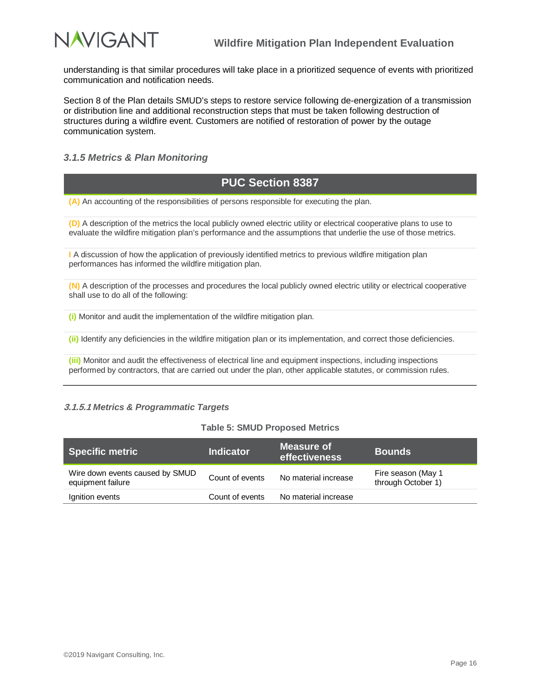

understanding is that similar procedures will take place in a prioritized sequence of events with prioritized communication and notification needs.

Section 8 of the Plan details SMUD's steps to restore service following de-energization of a transmission or distribution line and additional reconstruction steps that must be taken following destruction of structures during a wildfire event. Customers are notified of restoration of power by the outage communication system.

### <span id="page-19-0"></span>*3.1.5 Metrics & Plan Monitoring*

## **PUC Section 8387**

**(A)** An accounting of the responsibilities of persons responsible for executing the plan.

**(D)** A description of the metrics the local publicly owned electric utility or electrical cooperative plans to use to evaluate the wildfire mitigation plan's performance and the assumptions that underlie the use of those metrics.

**I** A discussion of how the application of previously identified metrics to previous wildfire mitigation plan performances has informed the wildfire mitigation plan.

**(N)** A description of the processes and procedures the local publicly owned electric utility or electrical cooperative shall use to do all of the following:

**(i)** Monitor and audit the implementation of the wildfire mitigation plan.

**(ii)** Identify any deficiencies in the wildfire mitigation plan or its implementation, and correct those deficiencies.

**(iii)** Monitor and audit the effectiveness of electrical line and equipment inspections, including inspections performed by contractors, that are carried out under the plan, other applicable statutes, or commission rules.

#### **3.1.5.1** *Metrics & Programmatic Targets*

#### **Table 5: SMUD Proposed Metrics**

<span id="page-19-1"></span>

| Specific metric                                      | <b>Indicator</b> | Measure of<br>l effectiveness <b>\</b> | <b>Bounds</b>                            |
|------------------------------------------------------|------------------|----------------------------------------|------------------------------------------|
| Wire down events caused by SMUD<br>equipment failure | Count of events  | No material increase                   | Fire season (May 1<br>through October 1) |
| Ignition events                                      | Count of events  | No material increase                   |                                          |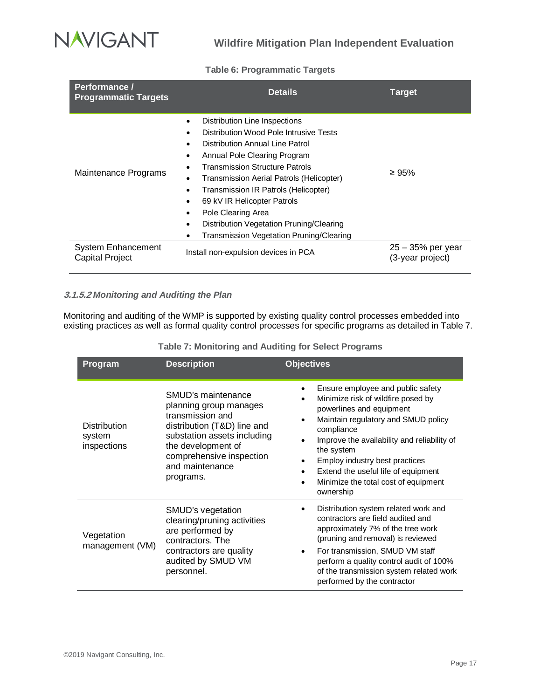

#### **Table 6: Programmatic Targets**

<span id="page-20-0"></span>

| Performance /<br><b>Programmatic Targets</b>        | <b>Details</b>                                                                                                                                                                                                                                                                                                                                                                                                       | <b>Target</b>                           |
|-----------------------------------------------------|----------------------------------------------------------------------------------------------------------------------------------------------------------------------------------------------------------------------------------------------------------------------------------------------------------------------------------------------------------------------------------------------------------------------|-----------------------------------------|
| Maintenance Programs                                | Distribution Line Inspections<br>Distribution Wood Pole Intrusive Tests<br>Distribution Annual Line Patrol<br>Annual Pole Clearing Program<br><b>Transmission Structure Patrols</b><br>Transmission Aerial Patrols (Helicopter)<br>Transmission IR Patrols (Helicopter)<br>69 kV IR Helicopter Patrols<br>Pole Clearing Area<br>Distribution Vegetation Pruning/Clearing<br>Transmission Vegetation Pruning/Clearing | ≥ 95%                                   |
| <b>System Enhancement</b><br><b>Capital Project</b> | Install non-expulsion devices in PCA                                                                                                                                                                                                                                                                                                                                                                                 | $25 - 35%$ per year<br>(3-year project) |

### **3.1.5.2** *Monitoring and Auditing the Plan*

Monitoring and auditing of the WMP is supported by existing quality control processes embedded into existing practices as well as formal quality control processes for specific programs as detailed in [Table 7.](#page-20-1)

<span id="page-20-1"></span>

| <b>Program</b>                               | <b>Description</b>                                                                                                                                                                                               | <b>Objectives</b>                                                                                                                                                                                                                                                                                                                                                                               |
|----------------------------------------------|------------------------------------------------------------------------------------------------------------------------------------------------------------------------------------------------------------------|-------------------------------------------------------------------------------------------------------------------------------------------------------------------------------------------------------------------------------------------------------------------------------------------------------------------------------------------------------------------------------------------------|
| <b>Distribution</b><br>system<br>inspections | SMUD's maintenance<br>planning group manages<br>transmission and<br>distribution (T&D) line and<br>substation assets including<br>the development of<br>comprehensive inspection<br>and maintenance<br>programs. | Ensure employee and public safety<br>Minimize risk of wildfire posed by<br>powerlines and equipment<br>Maintain regulatory and SMUD policy<br>$\bullet$<br>compliance<br>Improve the availability and reliability of<br>the system<br>Employ industry best practices<br>٠<br>Extend the useful life of equipment<br>$\bullet$<br>Minimize the total cost of equipment<br>$\bullet$<br>ownership |
| Vegetation<br>management (VM)                | SMUD's vegetation<br>clearing/pruning activities<br>are performed by<br>contractors. The<br>contractors are quality<br>audited by SMUD VM<br>personnel.                                                          | Distribution system related work and<br>contractors are field audited and<br>approximately 7% of the tree work<br>(pruning and removal) is reviewed<br>For transmission, SMUD VM staff<br>$\bullet$<br>perform a quality control audit of 100%<br>of the transmission system related work<br>performed by the contractor                                                                        |

**Table 7: Monitoring and Auditing for Select Programs**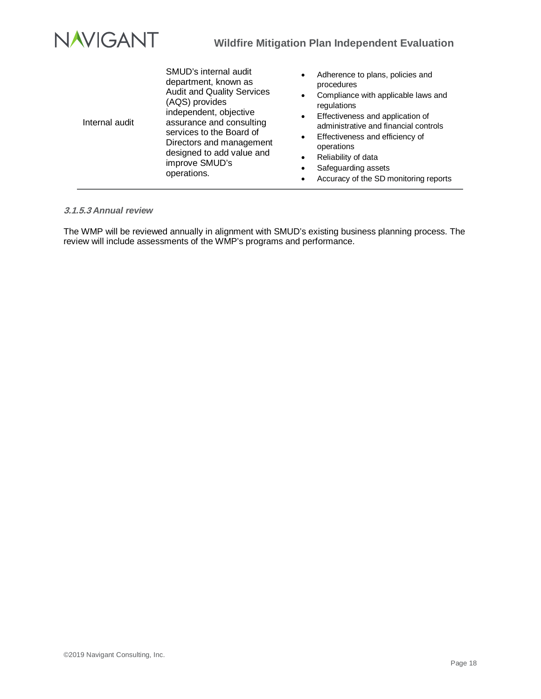

| Internal audit | SMUD's internal audit<br>department, known as<br><b>Audit and Quality Services</b><br>(AQS) provides<br>independent, objective<br>assurance and consulting<br>services to the Board of<br>Directors and management<br>designed to add value and<br>improve SMUD's<br>operations. | Adherence to plans, policies and<br>$\bullet$<br>procedures<br>Compliance with applicable laws and<br>٠<br>regulations<br>Effectiveness and application of<br>$\bullet$<br>administrative and financial controls<br>Effectiveness and efficiency of<br>$\bullet$<br>operations<br>Reliability of data<br>$\bullet$<br>Safeguarding assets<br>٠<br>Accuracy of the SD monitoring reports |
|----------------|----------------------------------------------------------------------------------------------------------------------------------------------------------------------------------------------------------------------------------------------------------------------------------|-----------------------------------------------------------------------------------------------------------------------------------------------------------------------------------------------------------------------------------------------------------------------------------------------------------------------------------------------------------------------------------------|
|----------------|----------------------------------------------------------------------------------------------------------------------------------------------------------------------------------------------------------------------------------------------------------------------------------|-----------------------------------------------------------------------------------------------------------------------------------------------------------------------------------------------------------------------------------------------------------------------------------------------------------------------------------------------------------------------------------------|

#### **3.1.5.3** *Annual review*

The WMP will be reviewed annually in alignment with SMUD's existing business planning process. The review will include assessments of the WMP's programs and performance.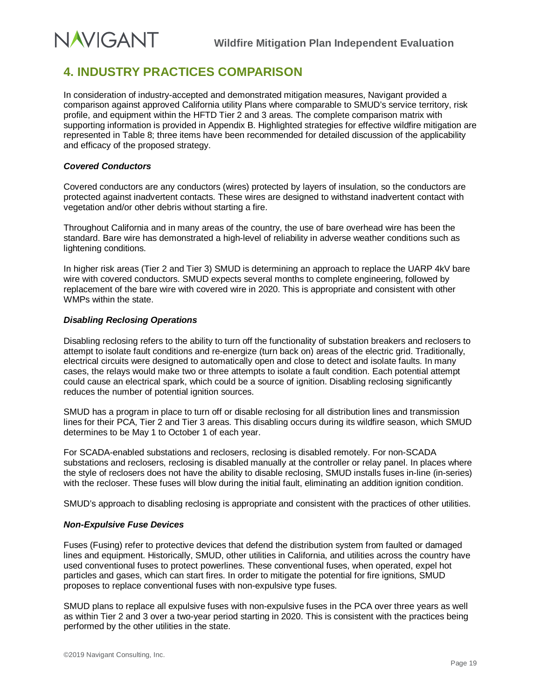# <span id="page-22-0"></span>**4. INDUSTRY PRACTICES COMPARISON**

In consideration of industry-accepted and demonstrated mitigation measures, Navigant provided a comparison against approved California utility Plans where comparable to SMUD's service territory, risk profile, and equipment within the HFTD Tier 2 and 3 areas. The complete comparison matrix with supporting information is provided in Appendix B. Highlighted strategies for effective wildfire mitigation are represented in [Table 8;](#page-23-1) three items have been recommended for detailed discussion of the applicability and efficacy of the proposed strategy.

#### *Covered Conductors*

**NAVIGANT** 

Covered conductors are any conductors (wires) protected by layers of insulation, so the conductors are protected against inadvertent contacts. These wires are designed to withstand inadvertent contact with vegetation and/or other debris without starting a fire.

Throughout California and in many areas of the country, the use of bare overhead wire has been the standard. Bare wire has demonstrated a high-level of reliability in adverse weather conditions such as lightening conditions.

In higher risk areas (Tier 2 and Tier 3) SMUD is determining an approach to replace the UARP 4kV bare wire with covered conductors. SMUD expects several months to complete engineering, followed by replacement of the bare wire with covered wire in 2020. This is appropriate and consistent with other WMPs within the state.

#### *Disabling Reclosing Operations*

Disabling reclosing refers to the ability to turn off the functionality of substation breakers and reclosers to attempt to isolate fault conditions and re-energize (turn back on) areas of the electric grid. Traditionally, electrical circuits were designed to automatically open and close to detect and isolate faults. In many cases, the relays would make two or three attempts to isolate a fault condition. Each potential attempt could cause an electrical spark, which could be a source of ignition. Disabling reclosing significantly reduces the number of potential ignition sources.

SMUD has a program in place to turn off or disable reclosing for all distribution lines and transmission lines for their PCA, Tier 2 and Tier 3 areas. This disabling occurs during its wildfire season, which SMUD determines to be May 1 to October 1 of each year.

For SCADA-enabled substations and reclosers, reclosing is disabled remotely. For non-SCADA substations and reclosers, reclosing is disabled manually at the controller or relay panel. In places where the style of reclosers does not have the ability to disable reclosing, SMUD installs fuses in-line (in-series) with the recloser. These fuses will blow during the initial fault, eliminating an addition ignition condition.

SMUD's approach to disabling reclosing is appropriate and consistent with the practices of other utilities.

### *Non-Expulsive Fuse Devices*

Fuses (Fusing) refer to protective devices that defend the distribution system from faulted or damaged lines and equipment. Historically, SMUD, other utilities in California, and utilities across the country have used conventional fuses to protect powerlines. These conventional fuses, when operated, expel hot particles and gases, which can start fires. In order to mitigate the potential for fire ignitions, SMUD proposes to replace conventional fuses with non-expulsive type fuses.

SMUD plans to replace all expulsive fuses with non-expulsive fuses in the PCA over three years as well as within Tier 2 and 3 over a two-year period starting in 2020. This is consistent with the practices being performed by the other utilities in the state.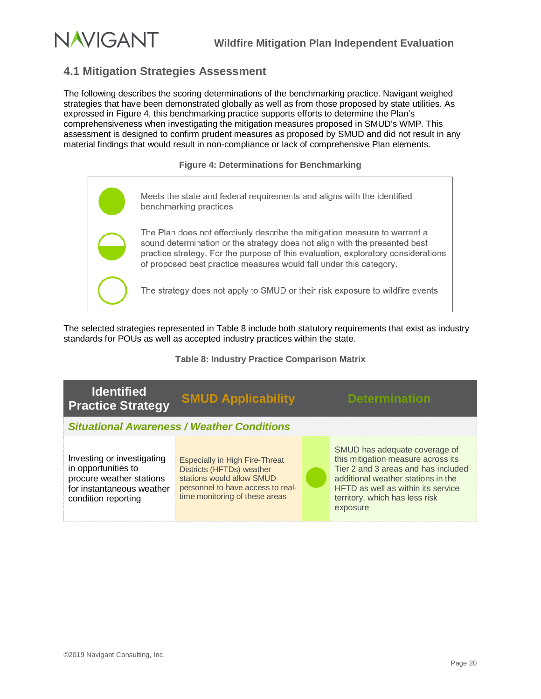

# <span id="page-23-0"></span>**4.1 Mitigation Strategies Assessment**

The following describes the scoring determinations of the benchmarking practice. Navigant weighed strategies that have been demonstrated globally as well as from those proposed by state utilities. As expressed in Figure 4, this benchmarking practice supports efforts to determine the Plan's comprehensiveness when investigating the mitigation measures proposed in SMUD's WMP. This assessment is designed to confirm prudent measures as proposed by SMUD and did not result in any material findings that would result in non-compliance or lack of comprehensive Plan elements.

**Figure 4: Determinations for Benchmarking**

<span id="page-23-2"></span>

The selected strategies represented in [Table 8](#page-23-1) include both statutory requirements that exist as industry standards for POUs as well as accepted industry practices within the state.

**Table 8: Industry Practice Comparison Matrix**

<span id="page-23-1"></span>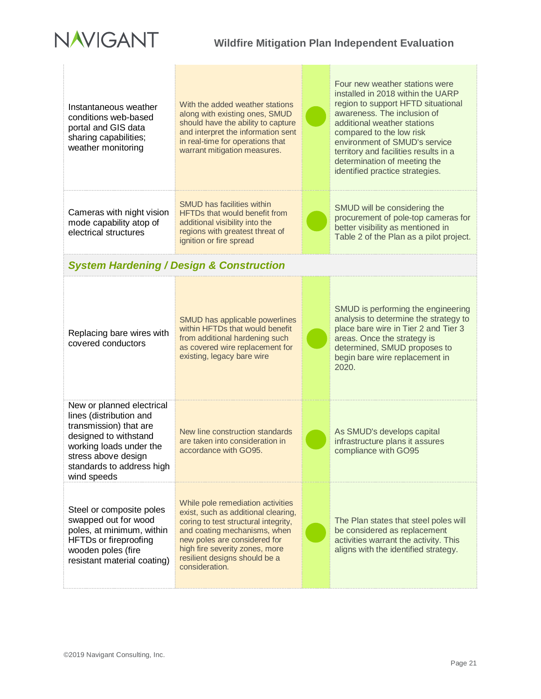

| Instantaneous weather<br>conditions web-based<br>portal and GIS data<br>sharing capabilities;<br>weather monitoring                                                                                   | With the added weather stations<br>along with existing ones, SMUD<br>should have the ability to capture<br>and interpret the information sent<br>in real-time for operations that<br>warrant mitigation measures.                                                     | Four new weather stations were<br>installed in 2018 within the UARP<br>region to support HFTD situational<br>awareness. The inclusion of<br>additional weather stations<br>compared to the low risk<br>environment of SMUD's service<br>territory and facilities results in a<br>determination of meeting the<br>identified practice strategies. |
|-------------------------------------------------------------------------------------------------------------------------------------------------------------------------------------------------------|-----------------------------------------------------------------------------------------------------------------------------------------------------------------------------------------------------------------------------------------------------------------------|--------------------------------------------------------------------------------------------------------------------------------------------------------------------------------------------------------------------------------------------------------------------------------------------------------------------------------------------------|
| Cameras with night vision<br>mode capability atop of<br>electrical structures                                                                                                                         | SMUD has facilities within<br><b>HFTDs that would benefit from</b><br>additional visibility into the<br>regions with greatest threat of<br>ignition or fire spread                                                                                                    | SMUD will be considering the<br>procurement of pole-top cameras for<br>better visibility as mentioned in<br>Table 2 of the Plan as a pilot project.                                                                                                                                                                                              |
|                                                                                                                                                                                                       | <b>System Hardening / Design &amp; Construction</b>                                                                                                                                                                                                                   |                                                                                                                                                                                                                                                                                                                                                  |
| Replacing bare wires with<br>covered conductors                                                                                                                                                       | SMUD has applicable powerlines<br>within HFTDs that would benefit<br>from additional hardening such<br>as covered wire replacement for<br>existing, legacy bare wire                                                                                                  | SMUD is performing the engineering<br>analysis to determine the strategy to<br>place bare wire in Tier 2 and Tier 3<br>areas. Once the strategy is<br>determined, SMUD proposes to<br>begin bare wire replacement in<br>2020.                                                                                                                    |
| New or planned electrical<br>lines (distribution and<br>transmission) that are<br>designed to withstand<br>working loads under the<br>stress above design<br>standards to address high<br>wind speeds | New line construction standards<br>are taken into consideration in<br>accordance with GO95.                                                                                                                                                                           | As SMUD's develops capital<br>infrastructure plans it assures<br>compliance with GO95                                                                                                                                                                                                                                                            |
| Steel or composite poles<br>swapped out for wood<br>poles, at minimum, within<br><b>HFTDs or fireproofing</b><br>wooden poles (fire<br>resistant material coating)                                    | While pole remediation activities<br>exist, such as additional clearing,<br>coring to test structural integrity,<br>and coating mechanisms, when<br>new poles are considered for<br>high fire severity zones, more<br>resilient designs should be a<br>consideration. | The Plan states that steel poles will<br>be considered as replacement<br>activities warrant the activity. This<br>aligns with the identified strategy.                                                                                                                                                                                           |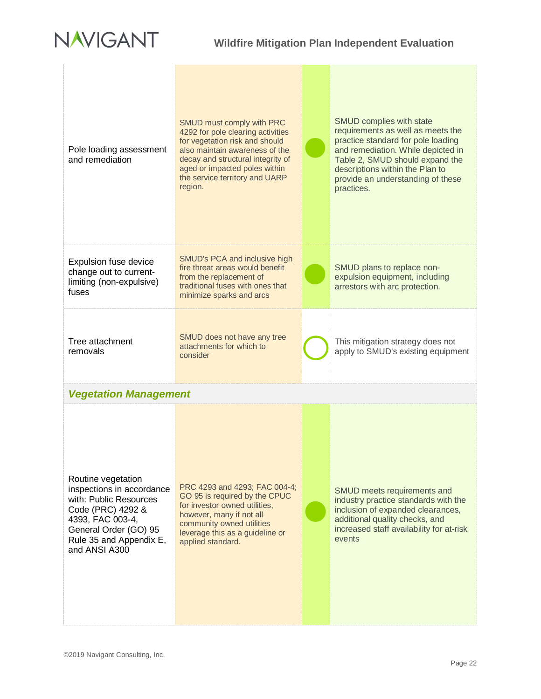

| Pole loading assessment<br>and remediation                                                                                                                                              | SMUD must comply with PRC<br>4292 for pole clearing activities<br>for vegetation risk and should<br>also maintain awareness of the<br>decay and structural integrity of<br>aged or impacted poles within<br>the service territory and UARP<br>region. | SMUD complies with state<br>requirements as well as meets the<br>practice standard for pole loading<br>and remediation. While depicted in<br>Table 2, SMUD should expand the<br>descriptions within the Plan to<br>provide an understanding of these<br>practices. |
|-----------------------------------------------------------------------------------------------------------------------------------------------------------------------------------------|-------------------------------------------------------------------------------------------------------------------------------------------------------------------------------------------------------------------------------------------------------|--------------------------------------------------------------------------------------------------------------------------------------------------------------------------------------------------------------------------------------------------------------------|
| Expulsion fuse device<br>change out to current-<br>limiting (non-expulsive)<br>fuses                                                                                                    | SMUD's PCA and inclusive high<br>fire threat areas would benefit<br>from the replacement of<br>traditional fuses with ones that<br>minimize sparks and arcs                                                                                           | SMUD plans to replace non-<br>expulsion equipment, including<br>arrestors with arc protection.                                                                                                                                                                     |
| Tree attachment<br>removals                                                                                                                                                             | SMUD does not have any tree<br>attachments for which to<br>consider                                                                                                                                                                                   | This mitigation strategy does not<br>apply to SMUD's existing equipment                                                                                                                                                                                            |
| <b>Vegetation Management</b>                                                                                                                                                            |                                                                                                                                                                                                                                                       |                                                                                                                                                                                                                                                                    |
| Routine vegetation<br>inspections in accordance<br>with: Public Resources<br>Code (PRC) 4292 &<br>4393, FAC 003-4,<br>General Order (GO) 95<br>Rule 35 and Appendix E,<br>and ANSI A300 | PRC 4293 and 4293; FAC 004-4;<br>GO 95 is required by the CPUC<br>for investor owned utilities,<br>however, many if not all<br>community owned utilities<br>leverage this as a guideline or<br>applied standard.                                      | SMUD meets requirements and<br>industry practice standards with the<br>inclusion of expanded clearances,<br>additional quality checks, and<br>increased staff availability for at-risk<br>events                                                                   |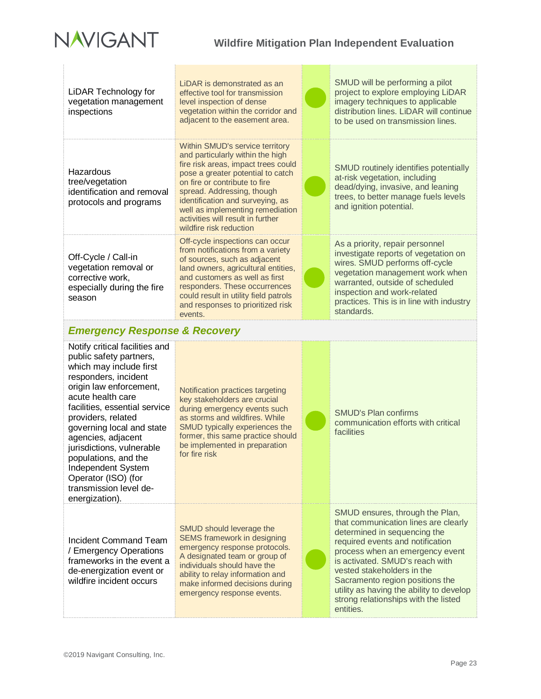

| <b>LiDAR Technology for</b><br>vegetation management<br>inspections                                                                                                                                                                                                                                                         | LIDAR is demonstrated as an<br>effective tool for transmission<br>level inspection of dense<br>vegetation within the corridor and<br>adjacent to the easement area.                                                                                                                                                                                    | SMUD will be performing a pilot<br>project to explore employing LiDAR<br>imagery techniques to applicable<br>distribution lines. LiDAR will continue<br>to be used on transmission lines.                                                                                |
|-----------------------------------------------------------------------------------------------------------------------------------------------------------------------------------------------------------------------------------------------------------------------------------------------------------------------------|--------------------------------------------------------------------------------------------------------------------------------------------------------------------------------------------------------------------------------------------------------------------------------------------------------------------------------------------------------|--------------------------------------------------------------------------------------------------------------------------------------------------------------------------------------------------------------------------------------------------------------------------|
| Hazardous<br>tree/vegetation<br>identification and removal<br>protocols and programs                                                                                                                                                                                                                                        | Within SMUD's service territory<br>and particularly within the high<br>fire risk areas, impact trees could<br>pose a greater potential to catch<br>on fire or contribute to fire<br>spread. Addressing, though<br>identification and surveying, as<br>well as implementing remediation<br>activities will result in further<br>wildfire risk reduction | SMUD routinely identifies potentially<br>at-risk vegetation, including<br>dead/dying, invasive, and leaning<br>trees, to better manage fuels levels<br>and ignition potential.                                                                                           |
| Off-Cycle / Call-in<br>vegetation removal or<br>corrective work,<br>especially during the fire<br>season                                                                                                                                                                                                                    | Off-cycle inspections can occur<br>from notifications from a variety<br>of sources, such as adjacent<br>land owners, agricultural entities,<br>and customers as well as first<br>responders. These occurrences<br>could result in utility field patrols<br>and responses to prioritized risk<br>events.                                                | As a priority, repair personnel<br>investigate reports of vegetation on<br>wires. SMUD performs off-cycle<br>vegetation management work when<br>warranted, outside of scheduled<br>inspection and work-related<br>practices. This is in line with industry<br>standards. |
| <b>Emergency Response &amp; Recovery</b>                                                                                                                                                                                                                                                                                    |                                                                                                                                                                                                                                                                                                                                                        |                                                                                                                                                                                                                                                                          |
| Notify critical facilities and<br>public safety partners,<br>which may include first<br>responders, incident<br>origin law enforcement,<br>acute health care<br>facilities, essential service<br>providers, related<br>governing local and state<br>agencies, adjacent<br>jurisdictions, vulnerable<br>populations, and the | Notification practices targeting<br>key stakeholders are crucial<br>during emergency events such<br>as storms and wildfires. While<br>SMUD typically experiences the<br>former, this same practice should<br>be implemented in preparation                                                                                                             | <b>SMUD's Plan confirms</b><br>communication efforts with critical<br>facilities                                                                                                                                                                                         |
| Independent System<br>Operator (ISO) (for<br>transmission level de-<br>energization).                                                                                                                                                                                                                                       | for fire risk                                                                                                                                                                                                                                                                                                                                          |                                                                                                                                                                                                                                                                          |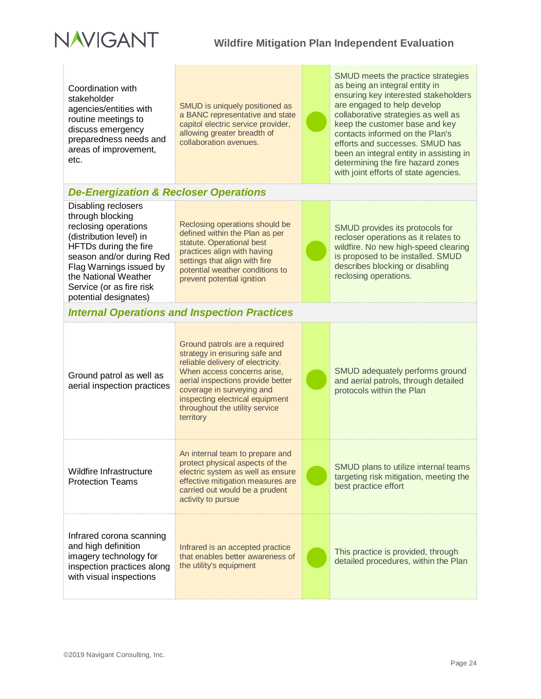

Coordination with stakeholder agencies/entities with routine meetings to discuss emergency preparedness needs and areas of improvement, etc.

SMUD is uniquely positioned as a BANC representative and state capitol electric service provider, allowing greater breadth of collaboration avenues.

SMUD meets the practice strategies as being an integral entity in ensuring key interested stakeholders are engaged to help develop collaborative strategies as well as keep the customer base and key contacts informed on the Plan's efforts and successes. SMUD has been an integral entity in assisting in determining the fire hazard zones with joint efforts of state agencies.

## *De-Energization & Recloser Operations*

Disabling reclosers through blocking reclosing operations (distribution level) in HFTDs during the fire season and/or during Red Flag Warnings issued by the National Weather Service (or as fire risk potential designates)

Reclosing operations should be defined within the Plan as per statute. Operational best practices align with having settings that align with fire potential weather conditions to prevent potential ignition

SMUD provides its protocols for recloser operations as it relates to wildfire. No new high-speed clearing is proposed to be installed. SMUD describes blocking or disabling reclosing operations.

## *Internal Operations and Inspection Practices*

| Ground patrol as well as<br>aerial inspection practices                                                                            | Ground patrols are a required<br>strategy in ensuring safe and<br>reliable delivery of electricity.<br>When access concerns arise,<br>aerial inspections provide better<br>coverage in surveying and<br>inspecting electrical equipment<br>throughout the utility service<br>territory | SMUD adequately performs ground<br>and aerial patrols, through detailed<br>protocols within the Plan   |
|------------------------------------------------------------------------------------------------------------------------------------|----------------------------------------------------------------------------------------------------------------------------------------------------------------------------------------------------------------------------------------------------------------------------------------|--------------------------------------------------------------------------------------------------------|
| Wildfire Infrastructure<br><b>Protection Teams</b>                                                                                 | An internal team to prepare and<br>protect physical aspects of the<br>electric system as well as ensure<br>effective mitigation measures are<br>carried out would be a prudent<br>activity to pursue                                                                                   | SMUD plans to utilize internal teams<br>targeting risk mitigation, meeting the<br>best practice effort |
| Infrared corona scanning<br>and high definition<br>imagery technology for<br>inspection practices along<br>with visual inspections | Infrared is an accepted practice<br>that enables better awareness of<br>the utility's equipment                                                                                                                                                                                        | This practice is provided, through<br>detailed procedures, within the Plan                             |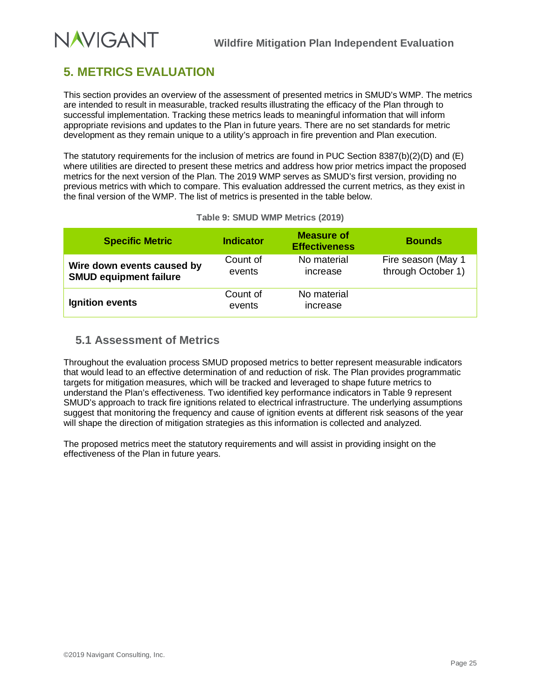# <span id="page-28-0"></span>**5. METRICS EVALUATION**

This section provides an overview of the assessment of presented metrics in SMUD's WMP. The metrics are intended to result in measurable, tracked results illustrating the efficacy of the Plan through to successful implementation. Tracking these metrics leads to meaningful information that will inform appropriate revisions and updates to the Plan in future years. There are no set standards for metric development as they remain unique to a utility's approach in fire prevention and Plan execution.

The statutory requirements for the inclusion of metrics are found in PUC Section 8387(b)(2)(D) and (E) where utilities are directed to present these metrics and address how prior metrics impact the proposed metrics for the next version of the Plan. The 2019 WMP serves as SMUD's first version, providing no previous metrics with which to compare. This evaluation addressed the current metrics, as they exist in the final version of the WMP. The list of metrics is presented in the table below.

<span id="page-28-2"></span>

| <b>Specific Metric</b>                                      | <b>Indicator</b>   | <b>Measure of</b><br><b>Effectiveness</b> | <b>Bounds</b>                            |
|-------------------------------------------------------------|--------------------|-------------------------------------------|------------------------------------------|
| Wire down events caused by<br><b>SMUD equipment failure</b> | Count of<br>events | No material<br>increase                   | Fire season (May 1<br>through October 1) |
| Ignition events                                             | Count of<br>events | No material<br>increase                   |                                          |

### **Table 9: SMUD WMP Metrics (2019)**

## <span id="page-28-1"></span>**5.1 Assessment of Metrics**

Throughout the evaluation process SMUD proposed metrics to better represent measurable indicators that would lead to an effective determination of and reduction of risk. The Plan provides programmatic targets for mitigation measures, which will be tracked and leveraged to shape future metrics to understand the Plan's effectiveness. Two identified key performance indicators in [Table 9](#page-28-2) represent SMUD's approach to track fire ignitions related to electrical infrastructure. The underlying assumptions suggest that monitoring the frequency and cause of ignition events at different risk seasons of the year will shape the direction of mitigation strategies as this information is collected and analyzed.

The proposed metrics meet the statutory requirements and will assist in providing insight on the effectiveness of the Plan in future years.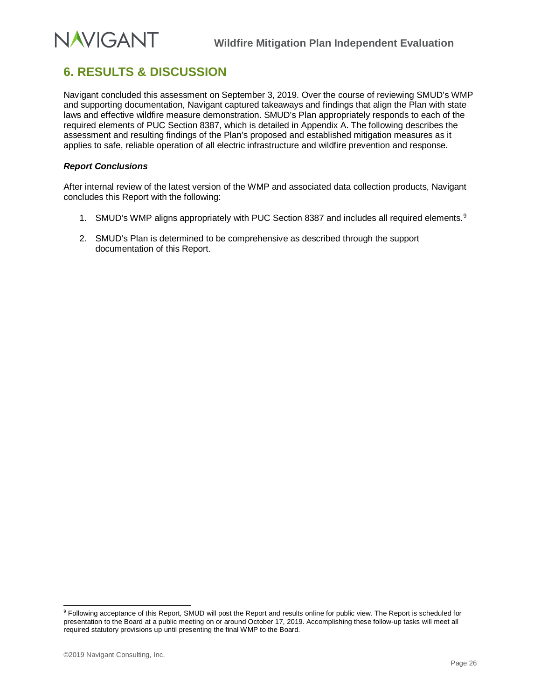# <span id="page-29-0"></span>**6. RESULTS & DISCUSSION**

Navigant concluded this assessment on September 3, 2019. Over the course of reviewing SMUD's WMP and supporting documentation, Navigant captured takeaways and findings that align the Plan with state laws and effective wildfire measure demonstration. SMUD's Plan appropriately responds to each of the required elements of PUC Section 8387, which is detailed in Appendix A. The following describes the assessment and resulting findings of the Plan's proposed and established mitigation measures as it applies to safe, reliable operation of all electric infrastructure and wildfire prevention and response.

#### *Report Conclusions*

After internal review of the latest version of the WMP and associated data collection products, Navigant concludes this Report with the following:

- 1. SMUD's WMP aligns appropriately with PUC Section 8387 and includes all required elements.<sup>[9](#page-29-1)</sup>
- 2. SMUD's Plan is determined to be comprehensive as described through the support documentation of this Report.

<span id="page-29-1"></span><sup>&</sup>lt;sup>9</sup> Following acceptance of this Report, SMUD will post the Report and results online for public view. The Report is scheduled for presentation to the Board at a public meeting on or around October 17, 2019. Accomplishing these follow-up tasks will meet all required statutory provisions up until presenting the final WMP to the Board.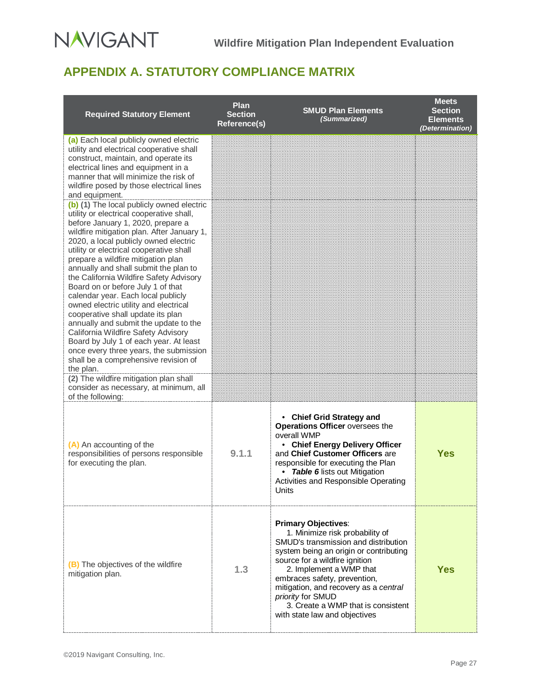# **NAVIGANT**

# <span id="page-30-0"></span>**APPENDIX A. STATUTORY COMPLIANCE MATRIX**

| <b>Required Statutory Element</b>                                                                                                                                                                                                                                                                                                                                                                                                                                                                                                                                                                                                                                                                                                                                                                                                                                                 | <b>Plan</b><br><b>Section</b><br>Reference(s) | <b>SMUD Plan Elements</b><br>(Summarized)                                                                                                                                                                                                                                                                                                                                         | <b>Meets</b><br><b>Section</b><br><b>Elements</b><br>(Determination) |
|-----------------------------------------------------------------------------------------------------------------------------------------------------------------------------------------------------------------------------------------------------------------------------------------------------------------------------------------------------------------------------------------------------------------------------------------------------------------------------------------------------------------------------------------------------------------------------------------------------------------------------------------------------------------------------------------------------------------------------------------------------------------------------------------------------------------------------------------------------------------------------------|-----------------------------------------------|-----------------------------------------------------------------------------------------------------------------------------------------------------------------------------------------------------------------------------------------------------------------------------------------------------------------------------------------------------------------------------------|----------------------------------------------------------------------|
| (a) Each local publicly owned electric<br>utility and electrical cooperative shall<br>construct, maintain, and operate its<br>electrical lines and equipment in a<br>manner that will minimize the risk of<br>wildfire posed by those electrical lines<br>and equipment.                                                                                                                                                                                                                                                                                                                                                                                                                                                                                                                                                                                                          |                                               |                                                                                                                                                                                                                                                                                                                                                                                   |                                                                      |
| (b) (1) The local publicly owned electric<br>utility or electrical cooperative shall,<br>before January 1, 2020, prepare a<br>wildfire mitigation plan. After January 1,<br>2020, a local publicly owned electric<br>utility or electrical cooperative shall<br>prepare a wildfire mitigation plan<br>annually and shall submit the plan to<br>the California Wildfire Safety Advisory<br>Board on or before July 1 of that<br>calendar year. Each local publicly<br>owned electric utility and electrical<br>cooperative shall update its plan<br>annually and submit the update to the<br>California Wildfire Safety Advisory<br>Board by July 1 of each year. At least<br>once every three years, the submission<br>shall be a comprehensive revision of<br>the plan.<br>(2) The wildfire mitigation plan shall<br>consider as necessary, at minimum, all<br>of the following: |                                               |                                                                                                                                                                                                                                                                                                                                                                                   |                                                                      |
| (A) An accounting of the<br>responsibilities of persons responsible<br>for executing the plan.                                                                                                                                                                                                                                                                                                                                                                                                                                                                                                                                                                                                                                                                                                                                                                                    | 9.1.1                                         | • Chief Grid Strategy and<br><b>Operations Officer oversees the</b><br>overall WMP<br>• Chief Energy Delivery Officer<br>and Chief Customer Officers are<br>responsible for executing the Plan<br>Table 6 lists out Mitigation<br>$\bullet$<br>Activities and Responsible Operating<br>Units                                                                                      | <b>Yes</b>                                                           |
| (B) The objectives of the wildfire<br>mitigation plan.                                                                                                                                                                                                                                                                                                                                                                                                                                                                                                                                                                                                                                                                                                                                                                                                                            | 1.3                                           | <b>Primary Objectives:</b><br>1. Minimize risk probability of<br>SMUD's transmission and distribution<br>system being an origin or contributing<br>source for a wildfire ignition<br>2. Implement a WMP that<br>embraces safety, prevention,<br>mitigation, and recovery as a central<br>priority for SMUD<br>3. Create a WMP that is consistent<br>with state law and objectives | <b>Yes</b>                                                           |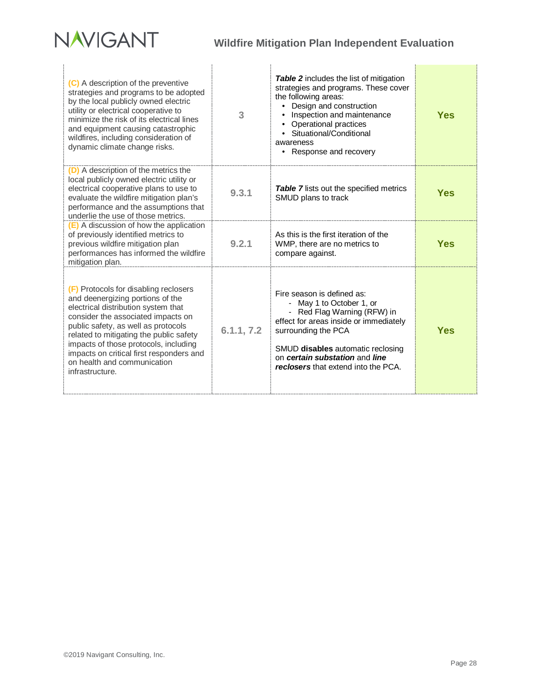

÷.

| (C) A description of the preventive<br>strategies and programs to be adopted<br>by the local publicly owned electric<br>utility or electrical cooperative to<br>minimize the risk of its electrical lines<br>and equipment causing catastrophic<br>wildfires, including consideration of<br>dynamic climate change risks.                                                       | 3          | Table 2 includes the list of mitigation<br>strategies and programs. These cover<br>the following areas:<br>Design and construction<br>$\bullet$<br>Inspection and maintenance<br>Operational practices<br>Situational/Conditional<br>awareness<br>• Response and recovery | <b>Yes</b> |
|---------------------------------------------------------------------------------------------------------------------------------------------------------------------------------------------------------------------------------------------------------------------------------------------------------------------------------------------------------------------------------|------------|---------------------------------------------------------------------------------------------------------------------------------------------------------------------------------------------------------------------------------------------------------------------------|------------|
| (D) A description of the metrics the<br>local publicly owned electric utility or<br>electrical cooperative plans to use to<br>evaluate the wildfire mitigation plan's<br>performance and the assumptions that<br>underlie the use of those metrics.                                                                                                                             | 9.3.1      | <b>Table 7</b> lists out the specified metrics<br>SMUD plans to track                                                                                                                                                                                                     | <b>Yes</b> |
| (E) A discussion of how the application<br>of previously identified metrics to<br>previous wildfire mitigation plan<br>performances has informed the wildfire<br>mitigation plan.                                                                                                                                                                                               | 9.2.1      | As this is the first iteration of the<br>WMP, there are no metrics to<br>compare against.                                                                                                                                                                                 | Yes        |
| (F) Protocols for disabling reclosers<br>and deenergizing portions of the<br>electrical distribution system that<br>consider the associated impacts on<br>public safety, as well as protocols<br>related to mitigating the public safety<br>impacts of those protocols, including<br>impacts on critical first responders and<br>on health and communication<br>infrastructure. | 6.1.1, 7.2 | Fire season is defined as:<br>- May 1 to October 1, or<br>- Red Flag Warning (RFW) in<br>effect for areas inside or immediately<br>surrounding the PCA<br>SMUD disables automatic reclosing<br>on certain substation and line<br>reclosers that extend into the PCA.      | Yes        |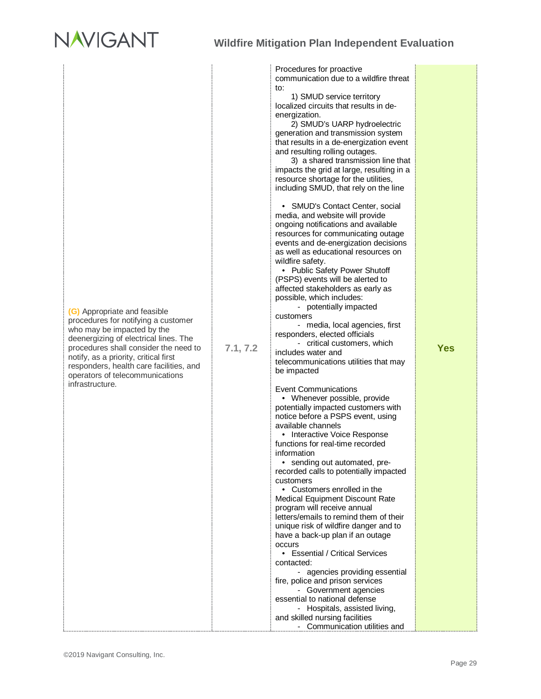# **NAVIGANT**

| (G) Appropriate and feasible<br>procedures for notifying a customer<br>who may be impacted by the<br>deenergizing of electrical lines. The<br>procedures shall consider the need to<br>notify, as a priority, critical first<br>responders, health care facilities, and<br>operators of telecommunications<br>infrastructure. | 7.1, 7.2 | Procedures for proactive<br>communication due to a wildfire threat<br>to:<br>1) SMUD service territory<br>localized circuits that results in de-<br>energization.<br>2) SMUD's UARP hydroelectric<br>generation and transmission system<br>that results in a de-energization event<br>and resulting rolling outages.<br>3) a shared transmission line that<br>impacts the grid at large, resulting in a<br>resource shortage for the utilities,<br>including SMUD, that rely on the line<br>• SMUD's Contact Center, social<br>media, and website will provide<br>ongoing notifications and available<br>resources for communicating outage<br>events and de-energization decisions<br>as well as educational resources on<br>wildfire safety.<br>• Public Safety Power Shutoff<br>(PSPS) events will be alerted to<br>affected stakeholders as early as<br>possible, which includes:<br>- potentially impacted<br>customers<br>- media, local agencies, first<br>responders, elected officials<br>- critical customers, which<br>includes water and<br>telecommunications utilities that may<br>be impacted<br><b>Event Communications</b><br>• Whenever possible, provide<br>potentially impacted customers with<br>notice before a PSPS event, using<br>available channels<br>• Interactive Voice Response<br>functions for real-time recorded<br>information<br>• sending out automated, pre-<br>recorded calls to potentially impacted<br>customers<br>• Customers enrolled in the<br>Medical Equipment Discount Rate<br>program will receive annual<br>letters/emails to remind them of their<br>unique risk of wildfire danger and to<br>have a back-up plan if an outage<br>occurs<br>• Essential / Critical Services<br>contacted:<br>- agencies providing essential<br>fire, police and prison services | <b>Yes</b> |
|-------------------------------------------------------------------------------------------------------------------------------------------------------------------------------------------------------------------------------------------------------------------------------------------------------------------------------|----------|-------------------------------------------------------------------------------------------------------------------------------------------------------------------------------------------------------------------------------------------------------------------------------------------------------------------------------------------------------------------------------------------------------------------------------------------------------------------------------------------------------------------------------------------------------------------------------------------------------------------------------------------------------------------------------------------------------------------------------------------------------------------------------------------------------------------------------------------------------------------------------------------------------------------------------------------------------------------------------------------------------------------------------------------------------------------------------------------------------------------------------------------------------------------------------------------------------------------------------------------------------------------------------------------------------------------------------------------------------------------------------------------------------------------------------------------------------------------------------------------------------------------------------------------------------------------------------------------------------------------------------------------------------------------------------------------------------------------------------------------------------------------------------------------------------------------|------------|
|                                                                                                                                                                                                                                                                                                                               |          | - Government agencies<br>essential to national defense<br>- Hospitals, assisted living,<br>and skilled nursing facilities                                                                                                                                                                                                                                                                                                                                                                                                                                                                                                                                                                                                                                                                                                                                                                                                                                                                                                                                                                                                                                                                                                                                                                                                                                                                                                                                                                                                                                                                                                                                                                                                                                                                                         |            |
|                                                                                                                                                                                                                                                                                                                               |          | - Communication utilities and                                                                                                                                                                                                                                                                                                                                                                                                                                                                                                                                                                                                                                                                                                                                                                                                                                                                                                                                                                                                                                                                                                                                                                                                                                                                                                                                                                                                                                                                                                                                                                                                                                                                                                                                                                                     |            |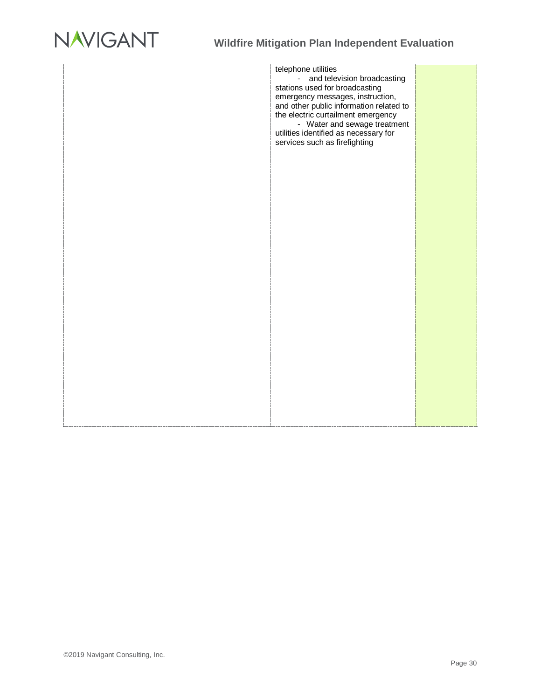

telephone utilities - and television broadcasting stations used for broadcasting emergency messages, instruction, and other public information related to the electric curtailment emergency - Water and sewage treatment utilities identified as necessary for services such as firefighting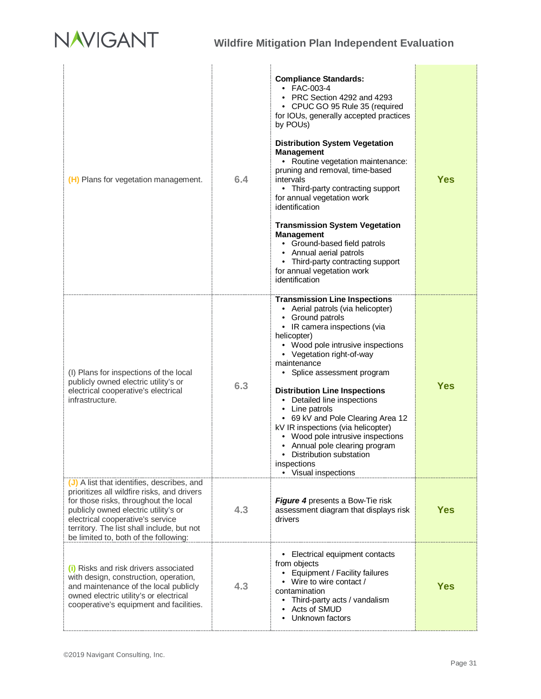

| (H) Plans for vegetation management.                                                                                                                                                                                                                                                                  | 6.4 | <b>Compliance Standards:</b><br>• FAC-003-4<br>• PRC Section 4292 and 4293<br>• CPUC GO 95 Rule 35 (required<br>for IOUs, generally accepted practices<br>by POUs)<br><b>Distribution System Vegetation</b><br><b>Management</b><br>• Routine vegetation maintenance:<br>pruning and removal, time-based<br>intervals<br>• Third-party contracting support<br>for annual vegetation work<br>identification<br><b>Transmission System Vegetation</b><br><b>Management</b><br>• Ground-based field patrols<br>Annual aerial patrols<br>Third-party contracting support<br>٠<br>for annual vegetation work<br>identification | <b>Yes</b> |
|-------------------------------------------------------------------------------------------------------------------------------------------------------------------------------------------------------------------------------------------------------------------------------------------------------|-----|---------------------------------------------------------------------------------------------------------------------------------------------------------------------------------------------------------------------------------------------------------------------------------------------------------------------------------------------------------------------------------------------------------------------------------------------------------------------------------------------------------------------------------------------------------------------------------------------------------------------------|------------|
| (I) Plans for inspections of the local<br>publicly owned electric utility's or<br>electrical cooperative's electrical<br>infrastructure.                                                                                                                                                              | 6.3 | <b>Transmission Line Inspections</b><br>• Aerial patrols (via helicopter)<br>• Ground patrols<br>• IR camera inspections (via<br>helicopter)<br>• Wood pole intrusive inspections<br>• Vegetation right-of-way<br>maintenance<br>• Splice assessment program<br><b>Distribution Line Inspections</b><br>• Detailed line inspections<br>• Line patrols<br>• 69 kV and Pole Clearing Area 12<br>kV IR inspections (via helicopter)<br>• Wood pole intrusive inspections<br>Annual pole clearing program<br>• Distribution substation<br>inspections<br>• Visual inspections                                                 | <b>Yes</b> |
| (J) A list that identifies, describes, and<br>prioritizes all wildfire risks, and drivers<br>for those risks, throughout the local<br>publicly owned electric utility's or<br>electrical cooperative's service<br>territory. The list shall include, but not<br>be limited to, both of the following: | 4.3 | Figure 4 presents a Bow-Tie risk<br>assessment diagram that displays risk<br>drivers                                                                                                                                                                                                                                                                                                                                                                                                                                                                                                                                      | <b>Yes</b> |
| (i) Risks and risk drivers associated<br>with design, construction, operation,<br>and maintenance of the local publicly<br>owned electric utility's or electrical<br>cooperative's equipment and facilities.                                                                                          | 4.3 | • Electrical equipment contacts<br>from objects<br>Equipment / Facility failures<br>• Wire to wire contact /<br>contamination<br>Third-party acts / vandalism<br>Acts of SMUD<br>Unknown factors                                                                                                                                                                                                                                                                                                                                                                                                                          | <b>Yes</b> |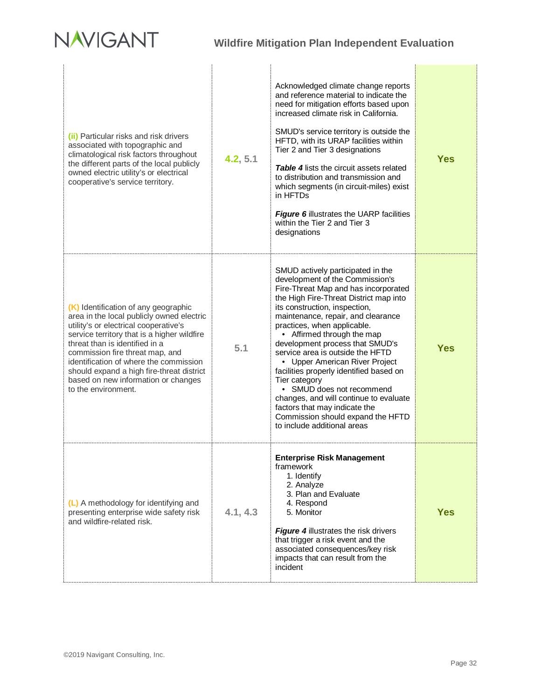# **NAVIGANT**

| should expand a high fire-threat district<br>based on new information or changes<br>to the environment.<br>(L) A methodology for identifying and<br>presenting enterprise wide safety risk<br>and wildfire-related risk.                                                                 | 4.1, 4.3 | facilities properly identified based on<br>Tier category<br>• SMUD does not recommend<br>changes, and will continue to evaluate<br>factors that may indicate the<br>Commission should expand the HFTD<br>to include additional areas<br>Enterprise Risk Management<br>framework<br>1. Identify<br>2. Analyze<br>3. Plan and Evaluate<br>4. Respond<br>5. Monitor<br><b>Figure 4</b> illustrates the risk drivers<br>that trigger a risk event and the<br>associated consequences/key risk                                                   | <b>Yes</b> |
|------------------------------------------------------------------------------------------------------------------------------------------------------------------------------------------------------------------------------------------------------------------------------------------|----------|---------------------------------------------------------------------------------------------------------------------------------------------------------------------------------------------------------------------------------------------------------------------------------------------------------------------------------------------------------------------------------------------------------------------------------------------------------------------------------------------------------------------------------------------|------------|
| (K) Identification of any geographic<br>area in the local publicly owned electric<br>utility's or electrical cooperative's<br>service territory that is a higher wildfire<br>threat than is identified in a<br>commission fire threat map, and<br>identification of where the commission | 5.1      | SMUD actively participated in the<br>development of the Commission's<br>Fire-Threat Map and has incorporated<br>the High Fire-Threat District map into<br>its construction, inspection,<br>maintenance, repair, and clearance<br>practices, when applicable.<br>• Affirmed through the map<br>development process that SMUD's<br>service area is outside the HFTD<br>• Upper American River Project                                                                                                                                         | <b>Yes</b> |
| (ii) Particular risks and risk drivers<br>associated with topographic and<br>climatological risk factors throughout<br>the different parts of the local publicly<br>owned electric utility's or electrical<br>cooperative's service territory.                                           | 4.2, 5.1 | Acknowledged climate change reports<br>and reference material to indicate the<br>need for mitigation efforts based upon<br>increased climate risk in California.<br>SMUD's service territory is outside the<br>HFTD, with its URAP facilities within<br>Tier 2 and Tier 3 designations<br><b>Table 4</b> lists the circuit assets related<br>to distribution and transmission and<br>which segments (in circuit-miles) exist<br>in HFTDs<br><b>Figure 6</b> illustrates the UARP facilities<br>within the Tier 2 and Tier 3<br>designations | Yes        |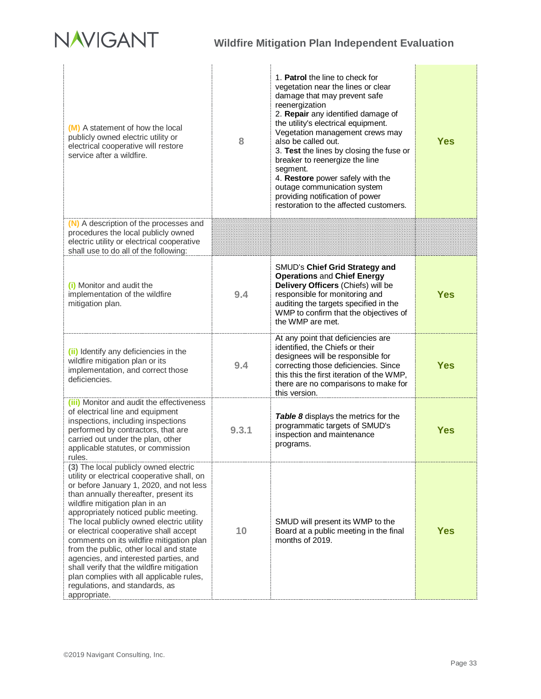# NAVIGANT

÷.

# **Wildfire Mitigation Plan Independent Evaluation**

| (M) A statement of how the local<br>publicly owned electric utility or<br>electrical cooperative will restore<br>service after a wildfire.                                                                                                                                                                                                                                                                                                                                                                                                                                                                           | 8     | 1. Patrol the line to check for<br>vegetation near the lines or clear<br>damage that may prevent safe<br>reenergization<br>2. Repair any identified damage of<br>the utility's electrical equipment.<br>Vegetation management crews may<br>also be called out.<br>3. Test the lines by closing the fuse or<br>breaker to reenergize the line<br>segment.<br>4. Restore power safely with the<br>outage communication system<br>providing notification of power<br>restoration to the affected customers. | <b>Yes</b> |
|----------------------------------------------------------------------------------------------------------------------------------------------------------------------------------------------------------------------------------------------------------------------------------------------------------------------------------------------------------------------------------------------------------------------------------------------------------------------------------------------------------------------------------------------------------------------------------------------------------------------|-------|----------------------------------------------------------------------------------------------------------------------------------------------------------------------------------------------------------------------------------------------------------------------------------------------------------------------------------------------------------------------------------------------------------------------------------------------------------------------------------------------------------|------------|
| (N) A description of the processes and<br>procedures the local publicly owned<br>electric utility or electrical cooperative<br>shall use to do all of the following:                                                                                                                                                                                                                                                                                                                                                                                                                                                 |       |                                                                                                                                                                                                                                                                                                                                                                                                                                                                                                          |            |
| (i) Monitor and audit the<br>implementation of the wildfire<br>mitigation plan.                                                                                                                                                                                                                                                                                                                                                                                                                                                                                                                                      | 9.4   | SMUD's Chief Grid Strategy and<br><b>Operations and Chief Energy</b><br>Delivery Officers (Chiefs) will be<br>responsible for monitoring and<br>auditing the targets specified in the<br>WMP to confirm that the objectives of<br>the WMP are met.                                                                                                                                                                                                                                                       | <b>Yes</b> |
| (ii) Identify any deficiencies in the<br>wildfire mitigation plan or its<br>implementation, and correct those<br>deficiencies.                                                                                                                                                                                                                                                                                                                                                                                                                                                                                       | 9.4   | At any point that deficiencies are<br>identified, the Chiefs or their<br>designees will be responsible for<br>correcting those deficiencies. Since<br>this this the first iteration of the WMP,<br>there are no comparisons to make for<br>this version.                                                                                                                                                                                                                                                 | <b>Yes</b> |
| (iii) Monitor and audit the effectiveness<br>of electrical line and equipment<br>inspections, including inspections<br>performed by contractors, that are<br>carried out under the plan, other<br>applicable statutes, or commission<br>rules.                                                                                                                                                                                                                                                                                                                                                                       | 9.3.1 | Table 8 displays the metrics for the<br>programmatic targets of SMUD's<br>inspection and maintenance<br>programs.                                                                                                                                                                                                                                                                                                                                                                                        | <b>Yes</b> |
| (3) The local publicly owned electric<br>utility or electrical cooperative shall, on<br>or before January 1, 2020, and not less<br>than annually thereafter, present its<br>wildfire mitigation plan in an<br>appropriately noticed public meeting.<br>The local publicly owned electric utility<br>or electrical cooperative shall accept<br>comments on its wildfire mitigation plan<br>from the public, other local and state<br>agencies, and interested parties, and<br>shall verify that the wildfire mitigation<br>plan complies with all applicable rules,<br>regulations, and standards, as<br>appropriate. | 10    | SMUD will present its WMP to the<br>Board at a public meeting in the final<br>months of 2019.                                                                                                                                                                                                                                                                                                                                                                                                            | <b>Yes</b> |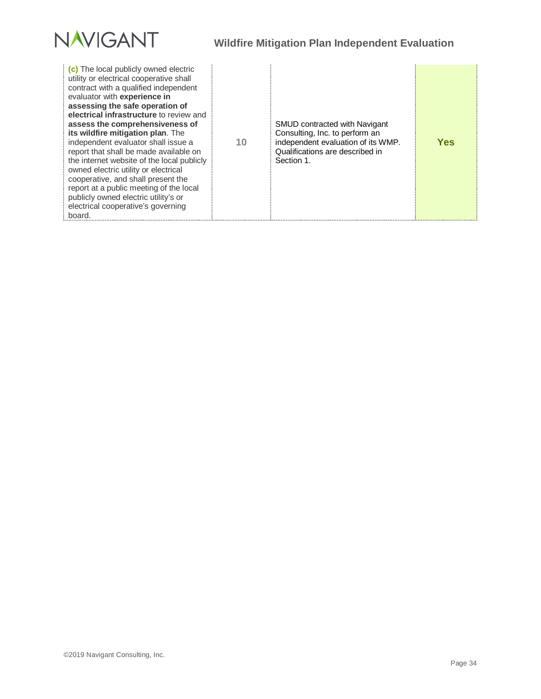

| (c) The local publicly owned electric<br>utility or electrical cooperative shall<br>contract with a qualified independent<br>evaluator with experience in<br>assessing the safe operation of<br>electrical infrastructure to review and<br>assess the comprehensiveness of<br>its wildfire mitigation plan. The<br>independent evaluator shall issue a<br>report that shall be made available on<br>the internet website of the local publicly<br>owned electric utility or electrical<br>cooperative, and shall present the<br>report at a public meeting of the local<br>publicly owned electric utility's or<br>electrical cooperative's governing<br>board. | 10 | SMUD contracted with Navigant<br>Consulting, Inc. to perform an<br>independent evaluation of its WMP.<br>Qualifications are described in<br>Section 1. | Yes |
|-----------------------------------------------------------------------------------------------------------------------------------------------------------------------------------------------------------------------------------------------------------------------------------------------------------------------------------------------------------------------------------------------------------------------------------------------------------------------------------------------------------------------------------------------------------------------------------------------------------------------------------------------------------------|----|--------------------------------------------------------------------------------------------------------------------------------------------------------|-----|
|-----------------------------------------------------------------------------------------------------------------------------------------------------------------------------------------------------------------------------------------------------------------------------------------------------------------------------------------------------------------------------------------------------------------------------------------------------------------------------------------------------------------------------------------------------------------------------------------------------------------------------------------------------------------|----|--------------------------------------------------------------------------------------------------------------------------------------------------------|-----|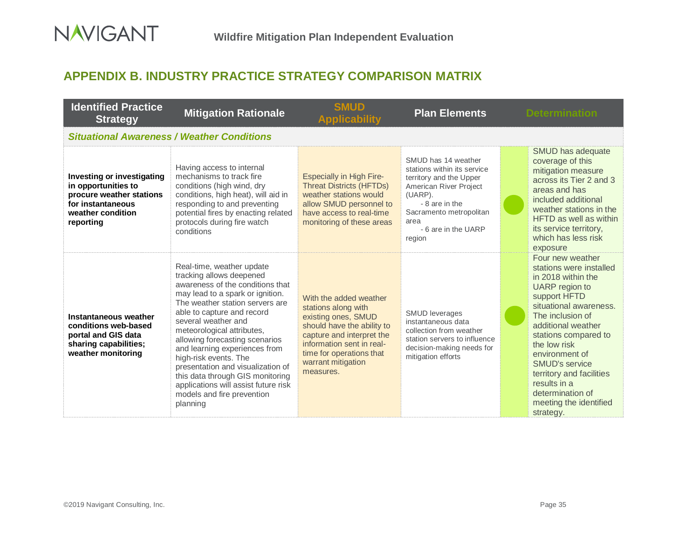# **APPENDIX B. INDUSTRY PRACTICE STRATEGY COMPARISON MATRIX**

<span id="page-38-0"></span>

| <b>Identified Practice</b><br><b>Strategy</b>                                                                                        | <b>Mitigation Rationale</b>                                                                                                                                                                                                                                                                                                                                                                                                                                                                                | <b>SMUD</b><br><b>Applicability</b>                                                                                                                                                                                         | <b>Plan Elements</b>                                                                                                                                                                                     | <b>Determination</b>                                                                                                                                                                                                                                                                                                                                              |
|--------------------------------------------------------------------------------------------------------------------------------------|------------------------------------------------------------------------------------------------------------------------------------------------------------------------------------------------------------------------------------------------------------------------------------------------------------------------------------------------------------------------------------------------------------------------------------------------------------------------------------------------------------|-----------------------------------------------------------------------------------------------------------------------------------------------------------------------------------------------------------------------------|----------------------------------------------------------------------------------------------------------------------------------------------------------------------------------------------------------|-------------------------------------------------------------------------------------------------------------------------------------------------------------------------------------------------------------------------------------------------------------------------------------------------------------------------------------------------------------------|
|                                                                                                                                      | <b>Situational Awareness / Weather Conditions</b>                                                                                                                                                                                                                                                                                                                                                                                                                                                          |                                                                                                                                                                                                                             |                                                                                                                                                                                                          |                                                                                                                                                                                                                                                                                                                                                                   |
| Investing or investigating<br>in opportunities to<br>procure weather stations<br>for instantaneous<br>weather condition<br>reporting | Having access to internal<br>mechanisms to track fire<br>conditions (high wind, dry<br>conditions, high heat), will aid in<br>responding to and preventing<br>potential fires by enacting related<br>protocols during fire watch<br>conditions                                                                                                                                                                                                                                                             | <b>Especially in High Fire-</b><br><b>Threat Districts (HFTDs)</b><br>weather stations would<br>allow SMUD personnel to<br>have access to real-time<br>monitoring of these areas                                            | SMUD has 14 weather<br>stations within its service<br>territory and the Upper<br>American River Project<br>(UARP).<br>- 8 are in the<br>Sacramento metropolitan<br>area<br>- 6 are in the UARP<br>region | SMUD has adequate<br>coverage of this<br>mitigation measure<br>across its Tier 2 and 3<br>areas and has<br>included additional<br>weather stations in the<br>HFTD as well as within<br>its service territory,<br>which has less risk<br>exposure                                                                                                                  |
| Instantaneous weather<br>conditions web-based<br>portal and GIS data<br>sharing capabilities;<br>weather monitoring                  | Real-time, weather update<br>tracking allows deepened<br>awareness of the conditions that<br>may lead to a spark or ignition.<br>The weather station servers are<br>able to capture and record<br>several weather and<br>meteorological attributes,<br>allowing forecasting scenarios<br>and learning experiences from<br>high-risk events. The<br>presentation and visualization of<br>this data through GIS monitoring<br>applications will assist future risk<br>models and fire prevention<br>planning | With the added weather<br>stations along with<br>existing ones, SMUD<br>should have the ability to<br>capture and interpret the<br>information sent in real-<br>time for operations that<br>warrant mitigation<br>measures. | <b>SMUD</b> leverages<br>instantaneous data<br>collection from weather<br>station servers to influence<br>decision-making needs for<br>mitigation efforts                                                | Four new weather<br>stations were installed<br>in 2018 within the<br>UARP region to<br>support HFTD<br>situational awareness.<br>The inclusion of<br>additional weather<br>stations compared to<br>the low risk<br>environment of<br><b>SMUD's service</b><br>territory and facilities<br>results in a<br>determination of<br>meeting the identified<br>strategy. |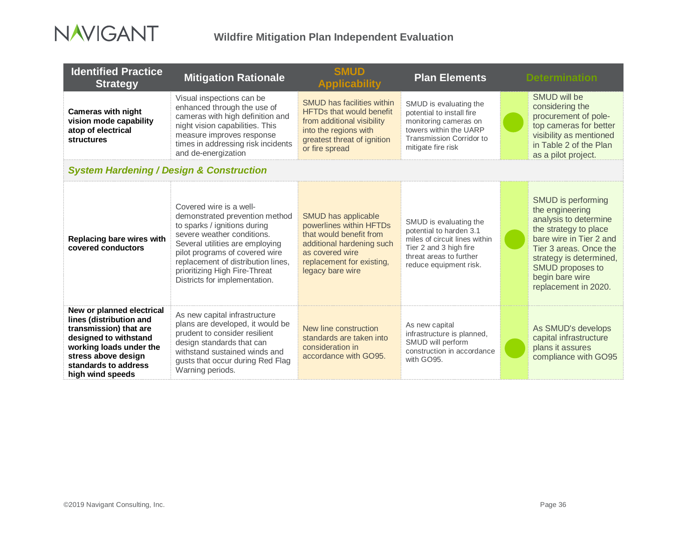

| <b>Identified Practice</b><br><b>Strategy</b>                                                                                                                                                         | <b>Mitigation Rationale</b>                                                                                                                                                                                                                                                                          | <b>SMUD</b><br><b>Applicability</b>                                                                                                                                          | <b>Plan Elements</b>                                                                                                                                              | <b>Determination</b>                                                                                                                                                                                                                   |
|-------------------------------------------------------------------------------------------------------------------------------------------------------------------------------------------------------|------------------------------------------------------------------------------------------------------------------------------------------------------------------------------------------------------------------------------------------------------------------------------------------------------|------------------------------------------------------------------------------------------------------------------------------------------------------------------------------|-------------------------------------------------------------------------------------------------------------------------------------------------------------------|----------------------------------------------------------------------------------------------------------------------------------------------------------------------------------------------------------------------------------------|
| <b>Cameras with night</b><br>vision mode capability<br>atop of electrical<br><b>structures</b>                                                                                                        | Visual inspections can be<br>enhanced through the use of<br>cameras with high definition and<br>night vision capabilities. This<br>measure improves response<br>times in addressing risk incidents<br>and de-energization                                                                            | <b>SMUD has facilities within</b><br><b>HFTDs that would benefit</b><br>from additional visibility<br>into the regions with<br>greatest threat of ignition<br>or fire spread | SMUD is evaluating the<br>potential to install fire<br>monitoring cameras on<br>towers within the UARP<br>Transmission Corridor to<br>mitigate fire risk          | SMUD will be<br>considering the<br>procurement of pole-<br>top cameras for better<br>visibility as mentioned<br>in Table 2 of the Plan<br>as a pilot project.                                                                          |
| <b>System Hardening / Design &amp; Construction</b>                                                                                                                                                   |                                                                                                                                                                                                                                                                                                      |                                                                                                                                                                              |                                                                                                                                                                   |                                                                                                                                                                                                                                        |
| Replacing bare wires with<br>covered conductors                                                                                                                                                       | Covered wire is a well-<br>demonstrated prevention method<br>to sparks / ignitions during<br>severe weather conditions.<br>Several utilities are employing<br>pilot programs of covered wire<br>replacement of distribution lines,<br>prioritizing High Fire-Threat<br>Districts for implementation. | SMUD has applicable<br>powerlines within HFTDs<br>that would benefit from<br>additional hardening such<br>as covered wire<br>replacement for existing,<br>legacy bare wire   | SMUD is evaluating the<br>potential to harden 3.1<br>miles of circuit lines within<br>Tier 2 and 3 high fire<br>threat areas to further<br>reduce equipment risk. | SMUD is performing<br>the engineering<br>analysis to determine<br>the strategy to place<br>bare wire in Tier 2 and<br>Tier 3 areas, Once the<br>strategy is determined,<br>SMUD proposes to<br>begin bare wire<br>replacement in 2020. |
| New or planned electrical<br>lines (distribution and<br>transmission) that are<br>designed to withstand<br>working loads under the<br>stress above design<br>standards to address<br>high wind speeds | As new capital infrastructure<br>plans are developed, it would be<br>prudent to consider resilient<br>design standards that can<br>withstand sustained winds and<br>gusts that occur during Red Flag<br>Warning periods.                                                                             | New line construction<br>standards are taken into<br>consideration in<br>accordance with GO95.                                                                               | As new capital<br>infrastructure is planned,<br>SMUD will perform<br>construction in accordance<br>with GO95.                                                     | As SMUD's develops<br>capital infrastructure<br>plans it assures<br>compliance with GO95                                                                                                                                               |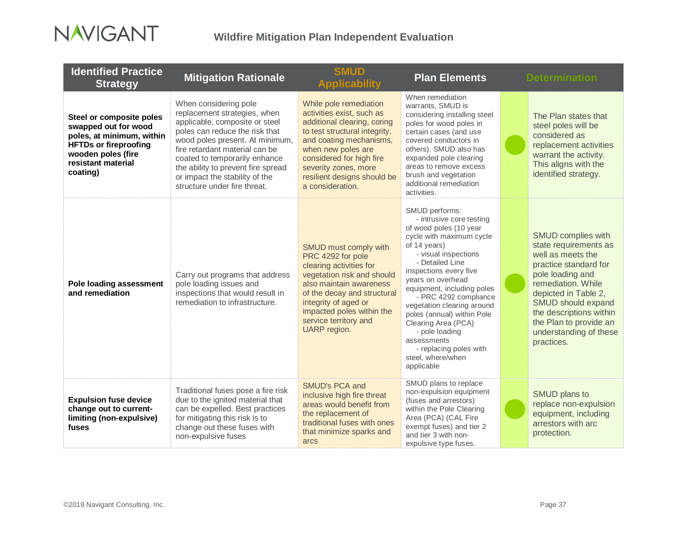

| <b>Identified Practice</b><br><b>Strategy</b>                                                                                                                         | <b>Mitigation Rationale</b>                                                                                                                                                                                                                                                                                                             | <b>SMUD</b><br><b>Applicability</b>                                                                                                                                                                                                                                         | <b>Plan Elements</b>                                                                                                                                                                                                                                                                                                                                                                                                                               | <b>Determination</b>                                                                                                                                                                                                                                                                         |
|-----------------------------------------------------------------------------------------------------------------------------------------------------------------------|-----------------------------------------------------------------------------------------------------------------------------------------------------------------------------------------------------------------------------------------------------------------------------------------------------------------------------------------|-----------------------------------------------------------------------------------------------------------------------------------------------------------------------------------------------------------------------------------------------------------------------------|----------------------------------------------------------------------------------------------------------------------------------------------------------------------------------------------------------------------------------------------------------------------------------------------------------------------------------------------------------------------------------------------------------------------------------------------------|----------------------------------------------------------------------------------------------------------------------------------------------------------------------------------------------------------------------------------------------------------------------------------------------|
| Steel or composite poles<br>swapped out for wood<br>poles, at minimum, within<br><b>HFTDs or fireproofing</b><br>wooden poles (fire<br>resistant material<br>coating) | When considering pole<br>replacement strategies, when<br>applicable, composite or steel<br>poles can reduce the risk that<br>wood poles present. At minimum,<br>fire retardant material can be<br>coated to temporarily enhance<br>the ability to prevent fire spread<br>or impact the stability of the<br>structure under fire threat. | While pole remediation<br>activities exist, such as<br>additional clearing, coring<br>to test structural integrity,<br>and coating mechanisms,<br>when new poles are<br>considered for high fire<br>severity zones, more<br>resilient designs should be<br>a consideration. | When remediation<br>warrants, SMUD is<br>considering installing steel<br>poles for wood poles in<br>certain cases (and use<br>covered conductors in<br>others). SMUD also has<br>expanded pole clearing<br>areas to remove excess<br>brush and vegetation<br>additional remediation<br>activities.                                                                                                                                                 | The Plan states that<br>steel poles will be<br>considered as<br>replacement activities<br>warrant the activity.<br>This aligns with the<br>identified strategy.                                                                                                                              |
| Pole loading assessment<br>and remediation                                                                                                                            | Carry out programs that address<br>pole loading issues and<br>inspections that would result in<br>remediation to infrastructure.                                                                                                                                                                                                        | SMUD must comply with<br>PRC 4292 for pole<br>clearing activities for<br>vegetation risk and should<br>also maintain awareness<br>of the decay and structural<br>integrity of aged or<br>impacted poles within the<br>service territory and<br>UARP region.                 | SMUD performs:<br>- intrusive core testing<br>of wood poles (10 year<br>cycle with maximum cycle<br>of 14 years)<br>- visual inspections<br>- Detailed Line<br>inspections every five<br>years on overhead<br>equipment, including poles<br>- PRC 4292 compliance<br>vegetation clearing around<br>poles (annual) within Pole<br>Clearing Area (PCA)<br>- pole loading<br>assessments<br>- replacing poles with<br>steel. where/when<br>applicable | <b>SMUD complies with</b><br>state requirements as<br>well as meets the<br>practice standard for<br>pole loading and<br>remediation. While<br>depicted in Table 2,<br><b>SMUD should expand</b><br>the descriptions within<br>the Plan to provide an<br>understanding of these<br>practices. |
| <b>Expulsion fuse device</b><br>change out to current-<br>limiting (non-expulsive)<br>fuses                                                                           | Traditional fuses pose a fire risk<br>due to the ignited material that<br>can be expelled. Best practices<br>for mitigating this risk is to<br>change out these fuses with<br>non-expulsive fuses                                                                                                                                       | SMUD's PCA and<br>inclusive high fire threat<br>areas would benefit from<br>the replacement of<br>traditional fuses with ones<br>that minimize sparks and<br>arcs                                                                                                           | SMUD plans to replace<br>non-expulsion equipment<br>(fuses and arrestors)<br>within the Pole Clearing<br>Area (PCA) (CAL Fire<br>exempt fuses) and tier 2<br>and tier 3 with non-<br>expulsive type fuses.                                                                                                                                                                                                                                         | SMUD plans to<br>replace non-expulsion<br>equipment, including<br>arrestors with arc<br>protection.                                                                                                                                                                                          |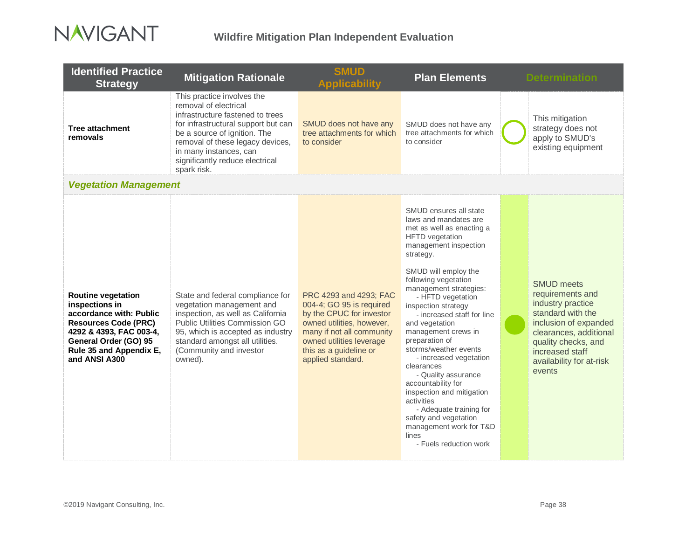

| <b>Identified Practice</b><br><b>Strategy</b>                                                                                                                                                         | <b>Mitigation Rationale</b>                                                                                                                                                                                                                                                    | <b>SMUD</b><br><b>Applicability</b>                                                                                                                                                                                 | <b>Plan Elements</b>                                                                                                                                                                                                                                                                                                                                                                                                                                                                                                                                                                                                                   | <b>Determination</b>                                                                                                                                                                                               |
|-------------------------------------------------------------------------------------------------------------------------------------------------------------------------------------------------------|--------------------------------------------------------------------------------------------------------------------------------------------------------------------------------------------------------------------------------------------------------------------------------|---------------------------------------------------------------------------------------------------------------------------------------------------------------------------------------------------------------------|----------------------------------------------------------------------------------------------------------------------------------------------------------------------------------------------------------------------------------------------------------------------------------------------------------------------------------------------------------------------------------------------------------------------------------------------------------------------------------------------------------------------------------------------------------------------------------------------------------------------------------------|--------------------------------------------------------------------------------------------------------------------------------------------------------------------------------------------------------------------|
| <b>Tree attachment</b><br>removals                                                                                                                                                                    | This practice involves the<br>removal of electrical<br>infrastructure fastened to trees<br>for infrastructural support but can<br>be a source of ignition. The<br>removal of these legacy devices,<br>in many instances, can<br>significantly reduce electrical<br>spark risk. | SMUD does not have any<br>tree attachments for which<br>to consider                                                                                                                                                 | SMUD does not have any<br>tree attachments for which<br>to consider                                                                                                                                                                                                                                                                                                                                                                                                                                                                                                                                                                    | This mitigation<br>strategy does not<br>apply to SMUD's<br>existing equipment                                                                                                                                      |
| <b>Vegetation Management</b>                                                                                                                                                                          |                                                                                                                                                                                                                                                                                |                                                                                                                                                                                                                     |                                                                                                                                                                                                                                                                                                                                                                                                                                                                                                                                                                                                                                        |                                                                                                                                                                                                                    |
| <b>Routine vegetation</b><br>inspections in<br>accordance with: Public<br><b>Resources Code (PRC)</b><br>4292 & 4393, FAC 003-4,<br>General Order (GO) 95<br>Rule 35 and Appendix E,<br>and ANSI A300 | State and federal compliance for<br>vegetation management and<br>inspection, as well as California<br>Public Utilities Commission GO<br>95, which is accepted as industry<br>standard amongst all utilities.<br>(Community and investor<br>owned).                             | PRC 4293 and 4293; FAC<br>004-4; GO 95 is required<br>by the CPUC for investor<br>owned utilities, however,<br>many if not all community<br>owned utilities leverage<br>this as a guideline or<br>applied standard. | SMUD ensures all state<br>laws and mandates are<br>met as well as enacting a<br><b>HFTD</b> vegetation<br>management inspection<br>strategy.<br>SMUD will employ the<br>following vegetation<br>management strategies:<br>- HFTD vegetation<br>inspection strategy<br>- increased staff for line<br>and vegetation<br>management crews in<br>preparation of<br>storms/weather events<br>- increased vegetation<br>clearances<br>- Quality assurance<br>accountability for<br>inspection and mitigation<br>activities<br>- Adequate training for<br>safety and vegetation<br>management work for T&D<br>lines<br>- Fuels reduction work | <b>SMUD meets</b><br>requirements and<br>industry practice<br>standard with the<br>inclusion of expanded<br>clearances, additional<br>quality checks, and<br>increased staff<br>availability for at-risk<br>events |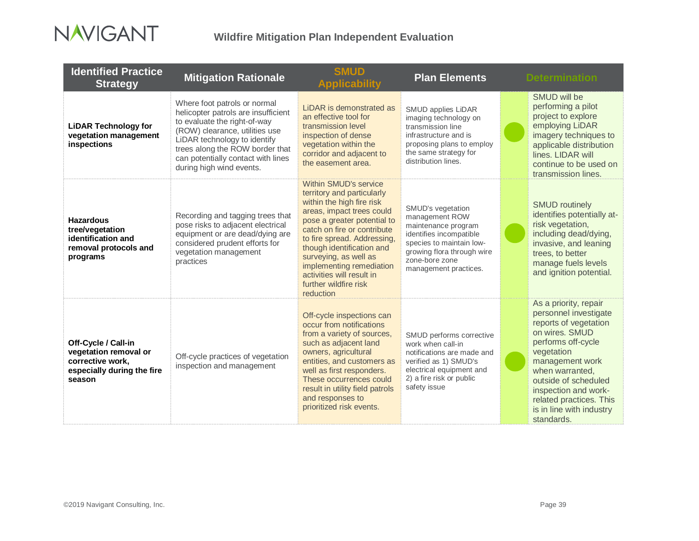

| <b>Identified Practice</b><br><b>Strategy</b>                                                            | <b>Mitigation Rationale</b>                                                                                                                                                                                                                                                | <b>SMUD</b><br><b>Applicability</b>                                                                                                                                                                                                                                                                                                                                    | <b>Plan Elements</b>                                                                                                                                                                       | <b>Determination</b>                                                                                                                                                                                                                                                                     |
|----------------------------------------------------------------------------------------------------------|----------------------------------------------------------------------------------------------------------------------------------------------------------------------------------------------------------------------------------------------------------------------------|------------------------------------------------------------------------------------------------------------------------------------------------------------------------------------------------------------------------------------------------------------------------------------------------------------------------------------------------------------------------|--------------------------------------------------------------------------------------------------------------------------------------------------------------------------------------------|------------------------------------------------------------------------------------------------------------------------------------------------------------------------------------------------------------------------------------------------------------------------------------------|
| <b>LiDAR Technology for</b><br>vegetation management<br>inspections                                      | Where foot patrols or normal<br>helicopter patrols are insufficient<br>to evaluate the right-of-way<br>(ROW) clearance, utilities use<br>LiDAR technology to identify<br>trees along the ROW border that<br>can potentially contact with lines<br>during high wind events. | LiDAR is demonstrated as<br>an effective tool for<br>transmission level<br>inspection of dense<br>vegetation within the<br>corridor and adjacent to<br>the easement area.                                                                                                                                                                                              | SMUD applies LiDAR<br>imaging technology on<br>transmission line<br>infrastructure and is<br>proposing plans to employ<br>the same strategy for<br>distribution lines.                     | <b>SMUD will be</b><br>performing a pilot<br>project to explore<br>employing LiDAR<br>imagery techniques to<br>applicable distribution<br>lines. LIDAR will<br>continue to be used on<br>transmission lines.                                                                             |
| <b>Hazardous</b><br>tree/vegetation<br>identification and<br>removal protocols and<br>programs           | Recording and tagging trees that<br>pose risks to adjacent electrical<br>equipment or are dead/dying are<br>considered prudent efforts for<br>vegetation management<br>practices                                                                                           | <b>Within SMUD's service</b><br>territory and particularly<br>within the high fire risk<br>areas, impact trees could<br>pose a greater potential to<br>catch on fire or contribute<br>to fire spread. Addressing,<br>though identification and<br>surveying, as well as<br>implementing remediation<br>activities will result in<br>further wildfire risk<br>reduction | SMUD's vegetation<br>management ROW<br>maintenance program<br>identifies incompatible<br>species to maintain low-<br>growing flora through wire<br>zone-bore zone<br>management practices. | <b>SMUD routinely</b><br>identifies potentially at-<br>risk vegetation,<br>including dead/dying,<br>invasive, and leaning<br>trees, to better<br>manage fuels levels<br>and ignition potential.                                                                                          |
| Off-Cycle / Call-in<br>vegetation removal or<br>corrective work,<br>especially during the fire<br>season | Off-cycle practices of vegetation<br>inspection and management                                                                                                                                                                                                             | Off-cycle inspections can<br>occur from notifications<br>from a variety of sources,<br>such as adjacent land<br>owners, agricultural<br>entities, and customers as<br>well as first responders.<br>These occurrences could<br>result in utility field patrols<br>and responses to<br>prioritized risk events.                                                          | SMUD performs corrective<br>work when call-in<br>notifications are made and<br>verified as 1) SMUD's<br>electrical equipment and<br>2) a fire risk or public<br>safety issue               | As a priority, repair<br>personnel investigate<br>reports of vegetation<br>on wires. SMUD<br>performs off-cycle<br>vegetation<br>management work<br>when warranted,<br>outside of scheduled<br>inspection and work-<br>related practices. This<br>is in line with industry<br>standards. |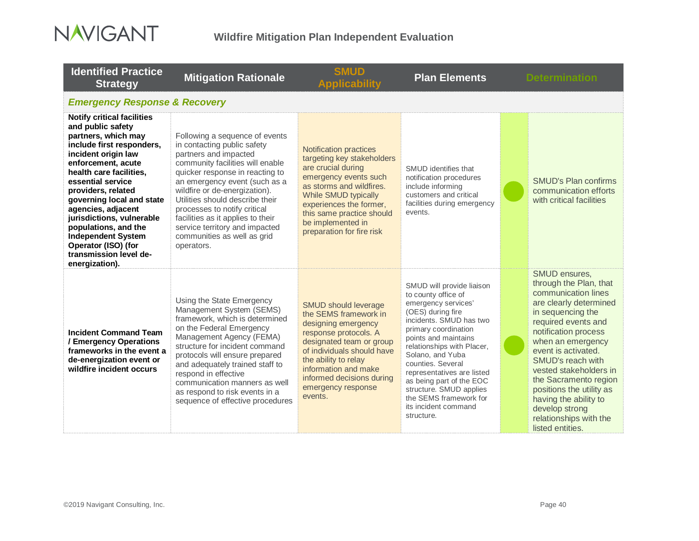

| <b>Identified Practice</b><br><b>Strategy</b>                                                                                                                                                                                                                                                                                                                                                                                         | <b>Mitigation Rationale</b>                                                                                                                                                                                                                                                                                                                                                                                            | <b>SMUD</b><br><b>Applicability</b>                                                                                                                                                                                                                                          | <b>Plan Elements</b>                                                                                                                                                                                                                                                                                                                                                                                |  | <b>Determination</b>                                                                                                                                                                                                                                                                                                                                                                                  |  |
|---------------------------------------------------------------------------------------------------------------------------------------------------------------------------------------------------------------------------------------------------------------------------------------------------------------------------------------------------------------------------------------------------------------------------------------|------------------------------------------------------------------------------------------------------------------------------------------------------------------------------------------------------------------------------------------------------------------------------------------------------------------------------------------------------------------------------------------------------------------------|------------------------------------------------------------------------------------------------------------------------------------------------------------------------------------------------------------------------------------------------------------------------------|-----------------------------------------------------------------------------------------------------------------------------------------------------------------------------------------------------------------------------------------------------------------------------------------------------------------------------------------------------------------------------------------------------|--|-------------------------------------------------------------------------------------------------------------------------------------------------------------------------------------------------------------------------------------------------------------------------------------------------------------------------------------------------------------------------------------------------------|--|
| <b>Emergency Response &amp; Recovery</b>                                                                                                                                                                                                                                                                                                                                                                                              |                                                                                                                                                                                                                                                                                                                                                                                                                        |                                                                                                                                                                                                                                                                              |                                                                                                                                                                                                                                                                                                                                                                                                     |  |                                                                                                                                                                                                                                                                                                                                                                                                       |  |
| <b>Notify critical facilities</b><br>and public safety<br>partners, which may<br>include first responders,<br>incident origin law<br>enforcement, acute<br>health care facilities,<br>essential service<br>providers, related<br>governing local and state<br>agencies, adjacent<br>jurisdictions, vulnerable<br>populations, and the<br><b>Independent System</b><br>Operator (ISO) (for<br>transmission level de-<br>energization). | Following a sequence of events<br>in contacting public safety<br>partners and impacted<br>community facilities will enable<br>quicker response in reacting to<br>an emergency event (such as a<br>wildfire or de-energization).<br>Utilities should describe their<br>processes to notify critical<br>facilities as it applies to their<br>service territory and impacted<br>communities as well as grid<br>operators. | <b>Notification practices</b><br>targeting key stakeholders<br>are crucial during<br>emergency events such<br>as storms and wildfires.<br>While SMUD typically<br>experiences the former,<br>this same practice should<br>be implemented in<br>preparation for fire risk     | SMUD identifies that<br>notification procedures<br>include informing<br>customers and critical<br>facilities during emergency<br>events.                                                                                                                                                                                                                                                            |  | <b>SMUD's Plan confirms</b><br>communication efforts<br>with critical facilities                                                                                                                                                                                                                                                                                                                      |  |
| <b>Incident Command Team</b><br>/ Emergency Operations<br>frameworks in the event a<br>de-energization event or<br>wildfire incident occurs                                                                                                                                                                                                                                                                                           | Using the State Emergency<br>Management System (SEMS)<br>framework, which is determined<br>on the Federal Emergency<br>Management Agency (FEMA)<br>structure for incident command<br>protocols will ensure prepared<br>and adequately trained staff to<br>respond in effective<br>communication manners as well<br>as respond to risk events in a<br>sequence of effective procedures                                  | <b>SMUD should leverage</b><br>the SEMS framework in<br>designing emergency<br>response protocols. A<br>designated team or group<br>of individuals should have<br>the ability to relay<br>information and make<br>informed decisions during<br>emergency response<br>events. | SMUD will provide liaison<br>to county office of<br>emergency services'<br>(OES) during fire<br>incidents. SMUD has two<br>primary coordination<br>points and maintains<br>relationships with Placer,<br>Solano, and Yuba<br>counties, Several<br>representatives are listed<br>as being part of the EOC<br>structure. SMUD applies<br>the SEMS framework for<br>its incident command<br>structure. |  | SMUD ensures,<br>through the Plan, that<br>communication lines<br>are clearly determined<br>in sequencing the<br>required events and<br>notification process<br>when an emergency<br>event is activated.<br>SMUD's reach with<br>vested stakeholders in<br>the Sacramento region<br>positions the utility as<br>having the ability to<br>develop strong<br>relationships with the<br>listed entities. |  |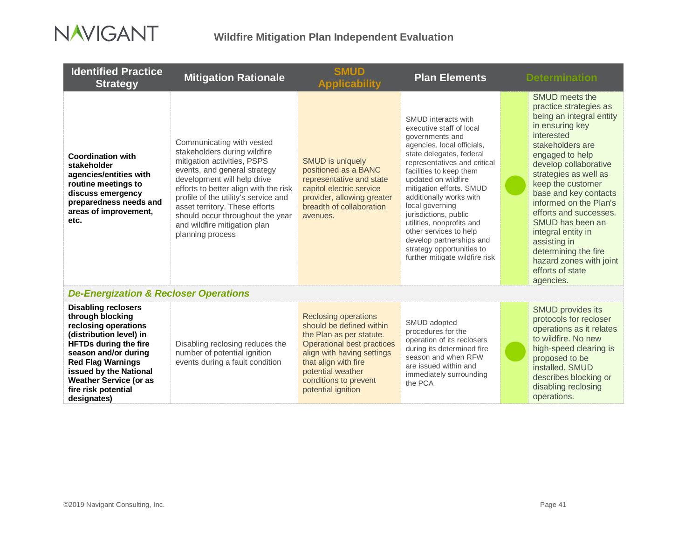

| <b>Identified Practice</b><br><b>Strategy</b>                                                                                                                                                                                                                                          | <b>Mitigation Rationale</b>                                                                                                                                                                                                                                                                                                                                        | <b>SMUD</b><br>Applicabilit\                                                                                                                                                                                                                | <b>Plan Elements</b>                                                                                                                                                                                                                                                                                                                                                                                                                                                | <b>Determination</b>                                                                                                                                                                                                                                                                                                                                                                                                                           |
|----------------------------------------------------------------------------------------------------------------------------------------------------------------------------------------------------------------------------------------------------------------------------------------|--------------------------------------------------------------------------------------------------------------------------------------------------------------------------------------------------------------------------------------------------------------------------------------------------------------------------------------------------------------------|---------------------------------------------------------------------------------------------------------------------------------------------------------------------------------------------------------------------------------------------|---------------------------------------------------------------------------------------------------------------------------------------------------------------------------------------------------------------------------------------------------------------------------------------------------------------------------------------------------------------------------------------------------------------------------------------------------------------------|------------------------------------------------------------------------------------------------------------------------------------------------------------------------------------------------------------------------------------------------------------------------------------------------------------------------------------------------------------------------------------------------------------------------------------------------|
| <b>Coordination with</b><br>stakeholder<br>agencies/entities with<br>routine meetings to<br>discuss emergency<br>preparedness needs and<br>areas of improvement,<br>etc.                                                                                                               | Communicating with vested<br>stakeholders during wildfire<br>mitigation activities, PSPS<br>events, and general strategy<br>development will help drive<br>efforts to better align with the risk<br>profile of the utility's service and<br>asset territory. These efforts<br>should occur throughout the year<br>and wildfire mitigation plan<br>planning process | <b>SMUD</b> is uniquely<br>positioned as a BANC<br>representative and state<br>capitol electric service<br>provider, allowing greater<br>breadth of collaboration<br>avenues.                                                               | SMUD interacts with<br>executive staff of local<br>governments and<br>agencies, local officials,<br>state delegates, federal<br>representatives and critical<br>facilities to keep them<br>updated on wildfire<br>mitigation efforts. SMUD<br>additionally works with<br>local governing<br>jurisdictions, public<br>utilities, nonprofits and<br>other services to help<br>develop partnerships and<br>strategy opportunities to<br>further mitigate wildfire risk | SMUD meets the<br>practice strategies as<br>being an integral entity<br>in ensuring key<br>interested<br>stakeholders are<br>engaged to help<br>develop collaborative<br>strategies as well as<br>keep the customer<br>base and key contacts<br>informed on the Plan's<br>efforts and successes.<br>SMUD has been an<br>integral entity in<br>assisting in<br>determining the fire<br>hazard zones with joint<br>efforts of state<br>agencies. |
| <b>De-Energization &amp; Recloser Operations</b>                                                                                                                                                                                                                                       |                                                                                                                                                                                                                                                                                                                                                                    |                                                                                                                                                                                                                                             |                                                                                                                                                                                                                                                                                                                                                                                                                                                                     |                                                                                                                                                                                                                                                                                                                                                                                                                                                |
| <b>Disabling reclosers</b><br>through blocking<br>reclosing operations<br>(distribution level) in<br><b>HFTDs during the fire</b><br>season and/or during<br><b>Red Flag Warnings</b><br>issued by the National<br><b>Weather Service (or as</b><br>fire risk potential<br>designates) | Disabling reclosing reduces the<br>number of potential ignition<br>events during a fault condition                                                                                                                                                                                                                                                                 | <b>Reclosing operations</b><br>should be defined within<br>the Plan as per statute.<br>Operational best practices<br>align with having settings<br>that align with fire<br>potential weather<br>conditions to prevent<br>potential ignition | SMUD adopted<br>procedures for the<br>operation of its reclosers<br>during its determined fire<br>season and when RFW<br>are issued within and<br>immediately surrounding<br>the PCA                                                                                                                                                                                                                                                                                | <b>SMUD provides its</b><br>protocols for recloser<br>operations as it relates<br>to wildfire. No new<br>high-speed clearing is<br>proposed to be<br>installed. SMUD<br>describes blocking or<br>disabling reclosing<br>operations.                                                                                                                                                                                                            |